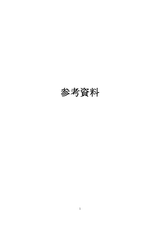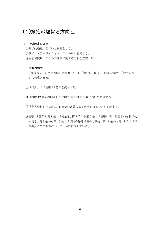# (1)策定の趣旨と方向性

# 1.指針改定の要点

①科学的根拠に基づいた指針とする。 ②ライフステージ・ライフスタイル別に記載する。 ③生活習慣病・こころの健康に関する記載を充実する。

# 2.指針の構成

- ①「健康づくりのための睡眠指針 2014」は、「指針」、「睡眠 12 箇条の解説」、「参考資料」 から構成される。
- ②「指針」では睡眠 12 箇条を提示する。
- ③「睡眠 12 箇条の解説」では睡眠 12 箇条の内容について解説する。
- ④「参考資料」では睡眠 12 箇条の背景にある科学的根拠などを提示する。
- ⑤睡眠 12 箇条の第 1 条では総論を、第 2 条から第 5 条では睡眠に関する基本的な科学的 知見を、第 6 条から第 10 条では予防や保健指導の方法を、第 11 条から第 12 条では早 期発見ための要点について、主に指摘している。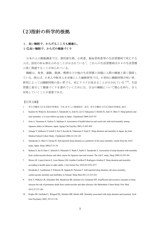# (2)指針の科学的根拠

# 1. 良い睡眠で、からだもこころも健康に。

# 1**-**①良い睡眠で、からだの健康づくり

日本の人口動態調査では、悪性新生物、心疾患、脳血管疾患等の生活習慣病で死亡する 人は、国民の約 6 割を占めることが示されている <sup>1</sup>。これらの生活習慣病は日々の生活習慣 と深く関連することが知られている。

睡眠は、食事、運動、飲酒、喫煙などの他の生活習慣と同様に人間の健康と深く関係し ている。例えば、日本人や欧米人を対象にした縦断研究では、日常的に睡眠時間が短い者、 研究によっては睡眠時間の長い者でも、死亡リスクが高まることが示されている<sup>2-10</sup>。生活 習慣に着目して健康づくりを進めていくためには、自分の睡眠について関心を持ち、自ら 対処していくことが重要である。

- 1. 厚生労働省大臣官房統計情報部. 平成 24 年人口動態統計. 東京: 厚生労働省大臣官房統計情報部, 2013
- 2. Kojima M, Wakai K, Kawamura T, Tamakoshi A, Aoki R, Lin Y, Nakayama T, Horibe H, Aoki N, Ohno Y. Sleep patterns and total mortality: a 12-year follow-up study in Japan. J Epidemiol 2000;10:87-93
- 3. Goto A, Yasumura S, Nishise Y, Sakihara S. Association of health behavior and social role with total mortality among Japanese elders in Okinawa, Japan. Aging Clin Exp Res 2003;15:443-450
- 4. Amagai Y, Ishikawa S, Gotoh T, Doi Y, Kayaba K, Nakamura Y, Kajii E. Sleep duration and mortality in Japan: the Jichi Medical School Cohort Study. J Epidemiol 2004;14:124-128
- 5. Tamakoshi A, Ohno Y, Group JS. Self-reported sleep duration as a predictor of all-cause mortality: results from the JACC study, Japan. Sleep 2004;27:51-54
- 6. Ikehara S, Iso H, Date C, Kikuchi S, Watanabe Y, Wada Y, Inaba Y, Tamakoshi A. Association of sleep duration with mortality from cardiovascular disease and other causes for Japanese men and women: The JACC study. Sleep 2009;32:295-301
- 7. Mesas AE, Lopez-Garcia E, Leon-Munoz LM, Guallar-Castillon P, Rodriguez-Artalejo F. Sleep duration and mortality according to health status in older adults. J Am Geriatr Soc 2010;58:1870-1877
- 8. Kronholm E, Laatikainen T, Peltonen M, Sippola R, Partonen T. Self-reported sleep duration, all-cause mortality, cardiovascular mortality and morbidity in Finland. Sleep Med 2011;12:215-221
- 9. Kim Y, Wilkens LR, Schembre SM, Henderson BE, Kolonel LN, Goodman MT. Insufficient and excessive amounts of sleep increase the risk of premature death from cardiovascular and other diseases: the Multiethnic Cohort Study. Prev Med 2013;57:377-385
- 10. Kripke DF, Garfinkel L, Wingard DL, Klauber MR, Marler MR. Mortality associated with sleep duration and insomnia. Arch Gen Psychiatry 2002; 59:131-136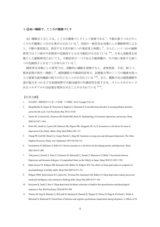#### 1**-**②良い睡眠で、こころの健康づくり

良い睡眠をとることは、こころの健康づくりとして重要である <sup>1</sup>。不眠が抑うつなどのこ ころの不健康につながる事が示されている<sup>2</sup>。米国の一般住民を対象にした横断研究による と、不眠の重症度は、併存する不安や抑うつの重症度と相関し<sup>3</sup>、さらに、いくつかの縦断 研究ではうつ病や不安障害の危険因子となる可能性が示されている 4-6。日本人高齢者を対 象にした縦断研究においても、不眠症状の一つである入眠困難が、その後に発症する抑う つの危険因子となることが知られている <sup>7</sup>。

健常者を対象にした研究では、実験的に睡眠を剥奪すると、身体愁訴、不安、抑うつ、 被害妄想が発生・増悪し <sup>8</sup>、感情調節力や建設的思考力、記憶能力等のこころの健康を保つ 上で重要な認知機能の低下が生じることが示されている 9,10。また、睡眠不足は感情調節や 遂行能力をつかさどる前頭前野や大脳辺縁系の代謝活性を低下させ、ストレスホルモンで あるコルチゾルの分泌量を増加させることが示されている 11-13。

- 1. 清水徹男. 睡眠障害の心身への影響. 日本臨牀 2013;71(suppl 5):51-56
- 2. Spiegelhalder K, Regen W, Nanovska S, Baglioni C, Riemann D. Comorbid sleep disorders in neuropsychiatric disorders across the life cycle. Curr Psychiatry Rep 2013;15:364
- 3. Taylor DJ, Lichstein KL, Durrence HH, Reidel BW, Bush AJ. Epidemiology of insomnia, depression, and anxiety. Sleep 2005;28:1457–1464
- 4. Perlis ML, Smith LJ, Lyness JM, Matteson SR, Pigeon WR, Jungquist CR, Tu X. Insomnia as a risk factor for onset of depression in the elderly. Behav Sleep Med 2006;4:104–113
- 5. Chang PP, Ford DE, Mead LA, Cooper-Patrick L, Klag MJ. Insomnia in young men and subsequent depression. The Johns Hopkins Precursors Study. Am J Epidemiol 1997;146:105-114
- 6. Neckelmann D, Mykletun A, Dahl AA. Chronic insomnia as a risk factor for developing anxiety and depression. Sleep 2007;30:873–880
- 7. Yokoyama E, Kaneita Y, Saito Y, Uchiyama M, Matsuzaki Y, Tamaki T, Munezawa T, Ohida T Association between Depression and Insomnia Subtypes: A Longitudinal Study on the Elderly in Japan. Sleep 2010;33:1693–1702
- 8. Kahn-Greene ET, Killgore DB, Kamimori GH, Balkin TJ, Killgore WD. The effects of sleep deprivation on symptoms of psychopathology in healthy adults. Sleep Med 2007;8:215–221
- 9. Killgore WDS, Kahn-Greene ET, Lipizzi EL, Newman RA, Kamimori GH, Balkin TJ. Sleep deprivation reduces perceived emotional intelligence and constructive thinking skills. Sleep Med 2007;9:517–526
- 10. Kuriyama K, Soshi T, Kim Y. Sleep deprivation facilitates extinction of implicit fear generalization and physiological response to fear. Biol Psychiatry 2010;68:991-998
- 11. Thomas M, Sing H, Belenky G, Holcomb H, Mayberg H, Dannals R, Wagner H, Thorne D, Popp K, Rowland L, Welsh A, Balwinski S, Redmond D. Neural basis of alertness and cognitive performance impairments during sleepiness. I. Effects of 24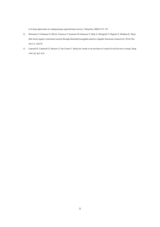h of sleep deprivation on waking human regional brain activity. J Sleep Res 2000;9:335–352

- 12. Motomura Y, Kitamura S, Oba K, Terasawa Y, Enomoto M, Katayose Y, Hida A, Moriguchi Y, Higuchi S, Mishima K. Sleep debt elicits negative emotional reaction through diminished amygdala-anterior cingulate functional connectivity. PLoS One 2013; 8: e56578
- 13. Leproult R, Copinschi G, Buxton O, Van Cauter E. Sleep loss results in an elevation of cortisol levels the next evening. Sleep 1997;20: 865–870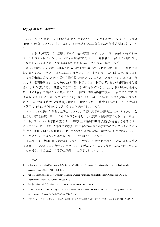#### **1-**③良い睡眠で、事故防止

スリーマイル島原子力発電所事故(1979 年)やスペースシャトルチャレンジャー号事故 (1986 年)などにおいて、睡眠不足による眠気がその原因となった可能性が指摘されている  $1,2$ 

日本における研究では、居眠り事故は、他の原因の事故に比べて死亡事故につながりや すいことが示されている <sup>3</sup>。公共交通機関運転者やタクシー運転者を対象にした研究では、 主観的眠気の強さに応じて交通事故発生の頻度が高いことが示されている $45^\circ_\circ$ 

米国における研究では、睡眠時間が 6 時間未満の者では、7 時間の者と比べて、居眠り運 転の頻度が高いことが <sup>6</sup>、日本における研究では、交通事故を起こした運転者で、夜間睡眠 が6時間未満の場合に追突事故や自損事故の頻度が高いことが示されている $^7$ 。ある介入研 究では、夜間睡眠を 1 日当たり約 5.8 時間に制限すると、制限せずに約 8.6 時間眠らせた場 合に比べて眠気が増し、注意力が低下することが示されている。。また、朝8時から持続的 に 1 日以上徹夜で覚醒させた介入研究では、認知・精神運動作業能力は、夜中の 3 時(17 時 間覚醒)で血中のアルコール濃度が0.05%(日本では0.03%以上で酒気帯び運転)の時と同程度 に低下し、翌朝 8 時(24 時間覚醒)にはさらに血中アルコール濃度 0.1%(およそビール大瓶 1 本飲用に相当)の時と同程度に低下することが示されている<sup>9</sup>。

日本の地域住民を対象とした研究において、睡眠時無呼吸症候群は、男性で約 9%10、女 性で約 3% <sup>11</sup> と頻度が高く、日中の眠気を引き起こす代表的な睡眠障害であることが示され ている。日本における横断研究では、中等度以上の睡眠時無呼吸症候群を有する患者では、 そうでない者に比べて、5 年間での複数回の事故経験が約 2.4 倍であることが示されている 12。また、睡眠時無呼吸症候群を有する患者では、経鼻持続陽圧療法で適切に治療を行うと、 眠気が改善し、事故の発生率が低下することが示されている 12。

不眠症では、夜間睡眠の問題だけでなく、疲労感、注意集中力低下、眠気、意欲の減退 など日中にも心身の症状を伴う。米国における研究では、こうした日中症状を伴う不眠症 がある場合、外傷を起こす危険性が高いことが示されている <sup>13</sup>。

- 1. Mitler MM, Carskadon MA, Czeisler CA, Dement WC, Dinges DF, Graeber RC. Catastrophes, sleep, and public policy: consensus report. Sleep 1988;11:100-109.
- 2. National Commission on Sleep Disorders Research. Wake up America: a national sleep alert. Washington DC: U.S. Department of Health and Human Services, 1993
- 3. 林光緒. 睡眠の社会学 睡眠と事故. Clinical Neuroscience 2004;22:89-91
- 4. Ozer C, Etcibaşı S, Oztürk L. Daytime sleepiness and sleep habits as risk factors of traffic accidents in a group of Turkish public transport drivers. Int J Clin Exp Med 2014;7:268-273
- 5. 戸島洋一,砂倉睦子. タクシー運転者における眠気と交通事故の関連に関する調査. 日職災医誌 2006;54:43-47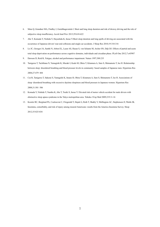- 6. Maia Q, Grandner MA, Findley J, Gurubhagavatula I. Short and long sleep duration and risk of drowsy driving and the role of subjective sleep insufficiency. Accid Anal Prev 2013;59:618-622
- 7. Abe T, Komada Y, Nishida Y, Hayashida K, Inoue Y.Short sleep duration and long spells of driving are associated with the occurrence of Japanese drivers' rear-end collisions and single-car accidents. J Sleep Res 2010;19:310-316
- 8. Lo JC, Groeger JA, Santhi N, Arbon EL, Lazar AS, Hasan S, von Schantz M, Archer SN, Dijk DJ. Effects of partial and acute total sleep deprivation on performance across cognitive domains, individuals and circadian phase. PLoS One 2012;7:e45987
- 9. Dawson D, Reid K. Fatigue, alcohol and performance impairment. Nature 1997;388:235
- 10. Tanigawa T, Tachibana N, Yamagishi K, Muraki I, Kudo M, Ohira T, Kitamura A, Sato S, Shimamoto T, Iso H. Relationship between sleep‑disordered breathing and blood pressure levels in community‑based samples of Japanese men. Hypertens Res 2004;27:479‑484
- 11. Cui R, Tanigawa T, Sakurai S, Yamagishi K, Imano H, Ohira T, Kitamura A, Sato S, Shimamoto T, Iso H. Associations of sleep‑disordered breathing with excessive daytime sleepiness and blood pressure in Japanese women. Hypertens Res 2008;31:501‑506
- 12. Komada Y, Nishida Y, Namba K, Abe T, Tsuiki S, Inoue Y. Elevated risk of motor vehicle accident for male drivers with obstructive sleep apnea syndrome in the Tokyo metropolitan area. Tohoku J Exp Med 2009;219:11-16
- 13. Kessler RC, Berglund PA, Coulouvrat C, Fitzgerald T, Hajak G, Roth T, Shahly V, Shillington AC, Stephenson JJ, Walsh JK. Insomnia, comorbidity, and risk of injury among insured Americans: results from the America Insomnia Survey. Sleep 2012;35:825-834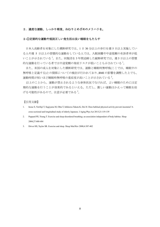#### 2. 適度な運動、しっかり朝食、ねむりとめざめのメリハリを。

#### 2**-**①定期的な運動や規則正しい食生活は良い睡眠をもたらす

日本人高齢者を対象にした横断研究では、1 日 30 分以上の歩行を週 5 日以上実施してい る人や週 5 日以上の習慣的な運動をしている人では、入眠困難や中途覚醒の有訴者率が低 いことが示されている <sup>1</sup>。また、同集団を 3 年間追跡した縦断研究では、週 5 日以上の習慣 的な運動を行っている者では中途覚醒の発症リスクが低いことも示されている <sup>1</sup>。

また、米国の成人を対象にした横断研究では、運動と睡眠時無呼吸(ここでは、睡眠中の 無呼吸と定義する)との関係についての検討が行われており、BMI の影響を調整した上でも、 運動時間が短いほど睡眠時無呼吸の重症度が高いことが示されている <sup>2</sup>。

以上のことから、運動が禁止されるような身体状況でなければ、よい睡眠のためには定 期的な運動を行うことが効果的であるといえる。ただし、激しい運動はかえって睡眠を妨 げる可能性があるので、注意が必要である <sup>3</sup>。

- 1. Inoue S, Yorifuji T, Sugiyama M, Ohta T, Ishikawa-Takata K, Doi H. Does habitual physical activity prevent insomnia? A cross-sectional and longitudinal study of elderly Japanese. J Aging Phys Act 2013;21:119-139
- 2. Peppard PE; Young T. Exercise and sleep-disordered breathing: an association independent of body habitus. Sleep 2004;27:480-484
- 3. Driver HS, Taylor SR. Exercise and sleep. Sleep Med Rev 2000;4:387-402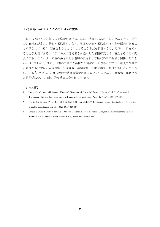# 2**-**②朝食はからだとこころのめざめに重要

日本人の成人を対象にした横断研究では、睡眠ー覚醒リズムが不規則である者は、朝食 の欠食頻度が多い、朝食の摂取量が少ない、昼食や夕食の摂取量が多いとの傾向があるこ とが示されている <sup>1</sup>。朝食をとることで、こころとからだを目覚めさせ、元気に一日を始め ることが大切である。ブラジル人の健常者を対象にした横断研究では、夜食とその後の間 食で摂取したカロリーの量の多さは睡眠潜時の長さおよび睡眠効率の低さと関係すること が示されている <sup>2</sup>。また、日本の中学生と高校生を対象にした横断研究では、朝食を欠食す る頻度が多い者ほど入眠困難、中途覚醒、早朝覚醒、不眠を訴える割合が多いことが示さ れている <sup>3</sup>。ただし、これらの検討結果は横断研究に基づくものであり、食習慣と睡眠との 因果関係については最終的な結論は得られていない。

- 1. Yamaguchi M, Uemura H, Katsuura-Kamano S, Nakamoto M, HiyoshiM, Takami H, Sawachika F, Juta T, Arisawa K.: Relationship of dietary factors and habits with sleep-wake regularity. Asia Pac J Clin Nutr 2013;223:457-465
- 2. Crispim CA, Zimberg IZ, dos Reis BG, Diniz RM, Tufik S, de Mello MT. Relationship between food intake and sleep pattern in healthy individuals. J Clin Sleep Med 2011;7:659-664
- 3. Kaneita Y, Ohida T, Osaki Y, Tanihata T, Minowa M, Suzuki K, Wada K, Kanda H, Hayashi K: Insomnia among Japanese Adolescents: A Nationwide Representative Survey. Sleep 2006;29:1543-1550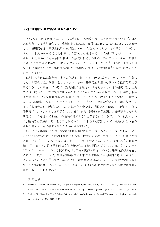#### 2**-**③睡眠薬代わりの寝酒は睡眠を悪くする

いくつかの疫学研究では、日本人は寝酒をする頻度が高いことが示されている
1,2。日本 人を対象にした横断研究では、寝酒を週 1 回以上する男性は 48.3%、女性は 18.3%である一 方で、睡眠薬を週 1 回以上使用する男性は 4.3%、女性 5.9%であることが示されている <sup>1</sup>。 また、日本人 10,424 名を含む世界 10 カ国 35,327 名を対象にした横断研究では、日本人は 睡眠に問題があっても主治医に相談する頻度は低く、睡眠のためにアルコールをとる者の 割合(10 カ国の平均 19.4%, 日本人 30.3%)が高いことが示されている <sup>2</sup>。さらに、米国人を対 象にした横断研究では、睡眠導入のために飲酒する者は、交代勤務者<sup>3</sup>や男性<sup>4</sup>に多いこと が示されている。

飲酒は短期的に眠気を強くすることが示されている。19-35 歳のカナダ人 18 名を対象に した介入研究では、飲酒によってスタンフォード睡眠尺度を用いた眠気の自己評価尺度が 高くなることが示されている <sup>5</sup>。商船会社の従業員 61 名を対象にした介入研究では、短期 的には、飲酒によって主観的な眠気が生じやすくなることが示されている <sup>6</sup>。同様に、若年 者や睡眠時無呼吸症候群の患者を対象にした介入研究でも、飲酒をした夜では、入眠する までの時間は短くなることが示されている 7,8。一方で、短期的な介入研究では、飲酒によ って睡眠前半のレム睡眠は減少し、睡眠全体の中で浅い睡眠である Stage 1 の睡眠が、特に 睡眠後半に、増加することが示されている <sup>9</sup>。また、連続 5 日間飲酒による影響をみた介入 研究では、日を追って Stage 1 の睡眠が増加することが示されている <sup>10</sup>。なお、飲酒によっ て、睡眠時間が減少することも示されており <sup>11</sup>、これらの研究によって、長期的には飲酒が 睡眠を質・量ともに悪化させることが示されている。

いくつかの疫学研究では、飲酒は睡眠時無呼吸を悪化させることが示されている。いび きや無呼吸は睡眠時無呼吸の主症状であるが、横断研究では、飲酒といびきとの関係が示 されている 12-15 。また、客観的な検査を用いた疫学研究では、日本人一般住民 <sup>16</sup>、職業運 転手 <sup>17</sup> において、飲酒量と睡眠時無呼吸の重症度との関係が示されている。さらに、米国  $^{18,19}$ やデンマーク $^{12}$ における横断研究でも同様の関係が示されている。睡眠時無呼吸を有す る者では、飲酒によって、最低酸素飽和度の低下 <sup>20</sup> や無呼吸の平均時間の延長 <sup>21</sup> をきたす ことも示されている<sup>22</sup>。特に、飲酒者では、特に飲酒量が多いほど、上気道の安定性が低下 することが示されている <sup>23</sup>。以上のことから、いびきや睡眠時無呼吸を有する者では飲酒に 注意することが必要である。

- 1. Kaneita Y, Uchiyama M, Takemura S, Yokoyama E, Miyake T, Harano S, Asai T, Tsutsui T, Kaneko A, Nakamura H, Ohida T. Use of alcohol and hypnotic medication as aids to sleep among the Japanese general population. Sleep Med 2007;8:723-732
- 2. Soldatos CR, Allaert FA, Ohta T, Dikeos DG. How do individuals sleep around the world? Results from a single-day survey in ten countries. Sleep Med 2005;6:5-13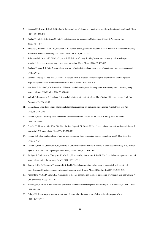- 3. Johnson EO, Roehrs T, Roth T, Breslau N. Epidemiology of alcohol and medication as aids to sleep in early adulthood. Sleep 1998 15;21:178-186
- 4. Roehrs T, Hollebeek E, Drake C, Roth T. Substance use for insomnia in Metropolitan Detroit. J Psychosom Res 2002;53:571-576
- 5. Arnedt JT, Wilde GJ, Munt PW, MacLean AW. How do prolonged wakefulness and alcohol compare in the decrements they produce on a simulated driving task? Accid Anal Prev 2001;33:337-344
- 6. Rohsenow DJ, Howland J, Minsky SJ, Arnedt JT. Effects of heavy drinking by maritime academy cadets on hangover, perceived sleep, and next-day ship power plant operation. J Stud Alcohol 2006;67:406-415
- 7. Roehers T, Yoon J, T Roth. Nocturnal and next-day effects of ethanol and basal level of sleepiness. Hum psychophamacol 1991;6:307-311
- 8. Scrima L, Broudy M, Nay KN, Cohn MA. Increased severity of obstructive sleep apnea after bedtime alcohol ingestion: diagnostic potential and proposed mechanism of action. Sleep 1982;5:318-328
- 9. Van Reen E, Jenni OG, Carskadon MA. Effects of alcohol on sleep and the sleep electroencephalogram in healthy young women.Alcohol Clin Exp Res 2006;30:974-981
- 10. Yules RB, Lippman ME, Freedman DX. Alcohol administration prior to sleep. The effect on EEG sleep stages. Arch Gen Psychiatry 1967;16:94-97
- 11. Mennella JA. Short-term effects of maternal alcohol consumption on lactational performance. Alcohol Clin Exp Res 1998;22:1389-1392
- 12. Jennum P, Sjøl A. Snoring, sleep apnoea and cardiovascular risk factors: the MONICA II Study. Int J Epidemiol 1993;22:439-444
- 13. Enright PL, Newman AB, Wahl PW, Manolio TA, Haponik EF, Boyle PJ.Prevalence and correlates of snoring and observed apneas in 5,201 older adults. Sleep 1996;19:531-538
- 14. Jennum P, Sjøl A. Epidemiology of snoring and obstructive sleep apnoea in a Danish population, age 30-60. J Sleep Res 1992;1:240-244
- 15. Jennum P, Hein HO, Suadicani P, Gyntelberg F. Cardiovascular risk factors in snorers. A cross-sectional study of 3,323 men aged 54 to 74 years: the Copenhagen Male Study. Chest 1992 ;102:1371-1376
- 16. Tanigwa T, Tachibana N, Yamagishi K, Muraki I, Umesawa M, Shimamoto T, Iso H. Usual alcohol consumption and arterial oxygen desaturation during sleep. JAMA 2004;292:923-925
- 17. Sakurai S, Cui R, Tanigawa T, Yamagishi K, Iso H .Alcohol consumption before sleep is associated with severity of sleep-disordered breathing among professional Japanese truck drivers. Alcohol Clin Exp Res 2007;31:2053-2058
- 18. Peppard PE, Austin D, Brown RL. Association of alcohol consumption and sleep disordered breathing in men and women. J Clin Sleep Med 2007;3:265-270
- 19. Stradling JR, Crosby JH.Predictors and prevalence of obstructive sleep apnoea and snoring in 1001 middle aged men. Thorax 1991;46:85-90.
- 20. Collop NA. Medroxyprogesterone acetate and ethanol-induced exacerbation of obstructive sleep apnea. Chest 1994;106:792-799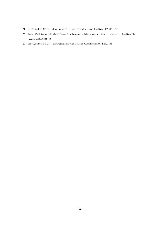- 21. Issa FG, Sullivan CE. Alcohol, snoring and sleep apnea. J Neurol Neurosurg Psychiatry 1982;45:353-359
- 22. Tsutsumi W, Miyazaki S, Itasaka Y, Togawa K. Influence of alcohol on respiratory disturbance during sleep. Psychiatry Clin Neurosci 2000;54:332-333
- 23. Issa FG, Sullivan CE. Upper airway closing pressures in snorers. J Appl Physiol 1984;57:528-535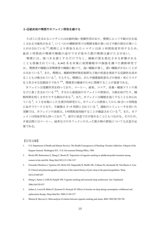### 2**-**④就床前の喫煙やカフェイン摂取を避ける

たばこに含まれるニコチンには比較的強い覚醒作用があり、喫煙によって不眠が引き起 こされる可能性がある<sup>1</sup>。いくつかの横断研究では喫煙本数が多いほど不眠の割合が多いこ とが示されている 2,3。喫煙により摂取されたニコチンは約 1 時間程度作用するため、 就床 1 時間前の喫煙や睡眠の途中で目が覚めた際の喫煙は避けた方が良い。

喫煙には、寝つきを悪くするだけでなく、睡眠の質を悪化させる影響がある ことも指摘されている。6,442 名を対象に夜間睡眠中の脳波を調べた横断研究で は、喫煙者の睡眠は非喫煙者の睡眠に較べて、浅い睡眠が多く、深い睡眠が少ないことが 示されている <sup>4</sup>。また、喫煙は、睡眠時無呼吸症候群など他の疾患を発症する危険性を高め ることも示唆されている <sup>5</sup>。そもそも、喫煙は、がんや循環器疾患などの発症・死亡リスク を上昇させる危険因子であり 6-8、喫煙者は健康のために禁煙することが重要である。

カフェインは覚醒作用を持っており、コーヒー、緑茶、ココア、栄養・健康ドリンク剤 などに多く含まれている<sup>9,10</sup>。夕方から就寝前のカフェインの摂取は、入眠を妨げたり、睡 眠時間を短くさせたりする傾向がある <sup>11</sup>。また、カフェインは睡眠を浅くすることも知られ ている<sup>9</sup>。ヒトを対象にした生理学的研究から、カフェインは摂取してから30分~1時間後 に血中でピークとなり、半減期は 3~5 時間とされている <sup>9</sup>。運転のシミュレータを用いた 実験では、カフェインの効果は、3 時間程度持続することが確認されている<sup>12</sup>。また、カフ ェインは利尿作用も持っており <sup>13</sup>、夜中に尿意で目が覚めることにもつながる。そのため、 夕食以降にはコーヒー、緑茶などのカフェインの入った飲み物の摂取についても注意が必 要である。

- 1. U.S. Department of Health and Human Services. The Health Consequences of Smoking: Nicotine Addiction: A Report of the Surgeon General. Washington D.C.: U.S. Government Printing Office, 1988
- 2. Brook DW, Rubenstone E, Zhang C, Brook JS. Trajectories of cigarette smoking in adulthood predict insomnia among women in late mid-life. Sleep Med 2012;13:1130-1137
- 3. Fernandez-Mendoza J, Vgontzas AN, Bixler EO, Singareddy R, Shaffer ML, Calhoun SL, Karataraki M, Vela-Bueno A, Liao D. Clinical and polysomnographic predictors of the natural history of poor sleep in the general population. Sleep 2012;35:689-697
- 4. Zhang L, Samet J, Caffo B, Punjabi NM. Cigarette smoking and nocturnal sleep architecture. Am J Epidemiol 2006;164:529-537
- 5. Jaehne A, Loessl B, Bárkai Z, Riemann D, Hornyak M. Effects of nicotine on sleep during consumption, withdrawal and replacement therapy. Sleep Med Rev 2009;13:363-377
- 6. Shinton R, Beevers G. Meta-analysis of relation between cigarette smoking and stroke. BMJ 1989;298:789-794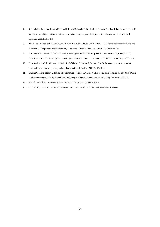- 7. Katanoda K, Marugame T, Saika K, Satoh H, Tajima K, Suzuki T, Tamakoshi A, Tsugane S, Sobue T. Population attributable fraction of mortality associated with tobacco smoking in Japan: a pooled analysis of three large-scale cohort studies. J Epidemiol 2008;18:251-264
- 8. Pirie K, Peto R, Reeves GK, Green J, Beral V; Million Women Study Collaborators. The 21st century hazards of smoking and benefits of stopping: a prospective study of one million women in the UK. Lancet 2013;381:133-141
- 9. O'Malley MB, Gleeson SK, Weir ID. Wake-promoting Medications: Efficacy and adverse effects. Kryger MH, Roth T, Dement WC ed. Principles and practice of sleep medicine, 4th edition. Philadelphia: W.B.Saunders Company, 2011;527-541
- 10. Heckman MA1, Weil J, Gonzalez de Mejia E. Caffeine (1, 3, 7-trimethylxanthine) in foods: a comprehensive review on consumption, functionality, safety, and regulatory matters. J Food Sci 2010;75:R77-R87
- 11. Drapeau C, Hamel-Hébert I, Robillard R, Selmaoui B, Filipini D, Carrier J. Challenging sleep in aging: the effects of 200 mg of caffeine during the evening in young and middle-aged moderate caffeine consumers. J Sleep Res 2006;15:133-141
- 12. 堀忠雄.交通事故.日本睡眠学会編. 睡眠学. 東京:朝倉書店. 2009;346-349
- 13. Maughan RJ, Griffin J. Caffeine ingestion and fluid balance: a review. J Hum Nutr Diet 2003;16:411-420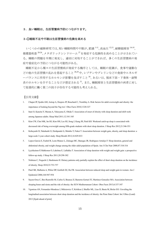#### 3. 良い睡眠は、生活習慣病予防につながります。

#### 3**-**①睡眠不足や不眠は生活習慣病の危険を高める

いくつかの縦断研究では、短い睡眠時間や不眠が、肥満 1-11、高血圧 12,13、耐糖能障害 14-19、 循環器疾患 20-26、メタボリックシンドローム <sup>27</sup>を発症する危険性を高めることが示されてい る。睡眠の問題を早期に発見し、適切に対処することができれば、多くの生活習慣病の発 症や重症化の予防につながる可能性がある。

睡眠不足から種々の生活習慣病が発症する機序としては、睡眠の変調が、食事や運動な どの他の生活習慣の乱れを惹起すること 28,29 や、レプチンやグレリンなどの食欲やエネルギ ーバランスに作用するホルモンが影響を及ぼすこと<sup>30</sup>、あるいは、視床下部-下垂体-副腎 系のホルモンを介することなどが想定される <sup>31</sup>。また、睡眠障害と生活習慣病の両者に対し て促進的に働く第三の因子が存在する可能性も考えられる。

- 1. Chaput JP, Sjodin AM, Astrup A, Despres JP, Bouchard C, Tremblay A. Risk factors for adult overweight and obesity: the importance of looking beyond the 'big two'. Obes Facts 2010;3:320-327
- 2. Itani O, Kaneita Y, Murata A, Yokoyama E, Ohida T. Association of onset of obesity with sleep duration and shift work among Japanese adults. Sleep Med 2011;12:341-345
- 3. Kim CW, Choi MK, Im HJ, Kim OH, Lee HJ, Song J, Kang JH, Park KH. Weekend catch-up sleep is associated with decreased risk of being overweight among fifth-grade students with short sleep duration. J Sleep Res 2012;21:546-551
- 4. Kobayashi D, Takahashi O, Deshpande G, Shimbo T, Fukui T. Association between weight gain, obesity, and sleep duration: a large-scale 3-year cohort study. Sleep Breath 2012;16:829-833
- 5. Lopez-Garcia E, Faubel R, Leon-Munoz L, Zuluaga MC, Banegas JR, Rodriguez-Artalejo F. Sleep duration, general and abdominal obesity, and weight change among the older adult population of Spain. Am J Clin Nutr 2008;87:310-316
- 6. Lyytikainen P, Rahkonen O, Lahelma E, Lallukka T. Association of sleep duration with weight and weight gain: a prospective follow-up study. J Sleep Res 2011;20:298-302
- 7. Nishiura C, Noguchi J, Hashimoto H. Dietary patterns only partially explain the effect of short sleep duration on the incidence of obesity. Sleep 2010;33:753-757
- 8. Patel SR, Malhotra A, White DP, Gottlieb DJ, Hu FB. Association between reduced sleep and weight gain in women. Am J Epidemiol 2006;164:947-954
- 9. Sayon-Orea C, Bes-Rastrollo M, Carlos S, Beunza JJ, Basterra-Gortari FJ, Martinez-Gonzalez MA. Association between sleeping hours and siesta and the risk of obesity: the SUN Mediterranean Cohort. Obes Facts 2013;6:337-347
- 10. Vgontzas AN, Fernandez-Mendoza J, Miksiewicz T, Kritikou I, Shaffer ML, Liao D, Basta M, Bixler EO. Unveiling the longitudinal association between short sleep duration and the incidence of obesity: the Penn State Cohort. Int J Obes (Lond) 2013 [Epub ahead of print]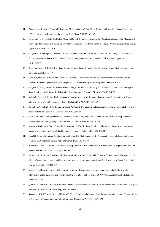- 11. Watanabe M, Kikuchi H, Tanaka K, Takahashi M. Association of Short Sleep Duration with Weight Gain and Obesity at 1-Year Follow-Up: A Large-Scale Prospective Study. Sleep 2010;33:161-167
- 12. Gangwisch JE, Heymsfield SB, Boden-Albala B, Buijs RM, Kreier F, Pickering TG, Rundle AG, Zammit GK, Malaspina D. Short sleep duration as a risk factor for hypertension: analyses of the first National Health and Nutrition Examination Survey. Hypertension 2006;47:833-839
- 13. Gangwisch JE, Malaspina D, Posner K, Babiss LA, Heymsfield SB, Turner JB, Zammit GK, Pickering TG. Insomnia and sleep duration as mediators of the relationship between depression and hypertension incidence. Am J Hypertens 2010;23:62-69
- 14. Beihl DA, Liese AD, Haffner SM. Sleep duration as a risk factor for incident type 2 diabetes in a multiethnic cohort. Ann Epidemiol 2009;19:351-357
- 15. Chaput JP, Despres JP, Bouchard C, Astrup A, Tremblay A. Sleep duration as a risk factor for the development of type 2 diabetes or impaired glucose tolerance: analyses of the Quebec Family Study. Sleep Med 2009;10:919-924
- 16. Gangwisch JE, Heymsfield SB, Boden-Albala B, Buijs RM, Kreier F, Pickering TG, Rundle AG, Zammit GK, Malaspina D. Sleep duration as a risk factor for diabetes incidence in a large US sample. Sleep 2007;30:1667-1673
- 17. Mallon L, Broman J, Hetta J. High incidence of diabetes in men with sleep complaints or short sleep duration: a 12-year follow-up study of a middle-aged population. Diabetes Care 2005;28:2762-2767
- 18. Xu Q, Song Y, Hollenbeck A, Blair A, Schatzkin A, Chen H. Day napping and short night sleeping are associated with higher risk of diabetes in older adults. Diabetes Care 2010;33:78-83
- 19. Gottlieb DJ, Punjabi NM, Newman AB, Resnick HE, Redline S, Baldwin CM, Nieto FJ. Association of sleep time with diabetes mellitus and impaired glucose tolerance. Arch Intern Med 2005;165:863-867
- 20. Amagai Y, Ishikawa S, Gotoh T, Kayaba K, Nakamura Y, Kajii E. Sleep duration and incidence of cardiovascular events in a Japanese population: the Jichi Medical School cohort study. J Epidemiol 2010;20:106-110
- 21. Ayas NT, White DP, Manson JE, Stampfer MJ, Speizer FE, Malhotra A, Hu FB. A prospective study of sleep duration and coronary heart disease in women. Arch Intern Med 2003;163:205-209
- 22. Burazeri G, Gofin J, Kark JD. Over 8 hours of sleep--marker of increased mortality in Mediterranean population: follow-up population study. Croat Med J 2003;44:193-198
- 23. Hamazaki Y, Morikawa Y, Nakamura K, Sakurai M, Miura K, Ishizaki M, Kido T, Naruse Y, Suwazono Y, Nakagawa H. The effects of sleep duration on the incidence of cardiovascular events among middle-aged male workers in Japan. Scand J Work Environ Health 2011;37:411-417
- 24. Meisinger C, Heier M, Lowel H, Schneider A, Doring A. Sleep duration and sleep complaints and risk of myocardial infarction in middle-aged men and women from the general population: The MONICA/KORA Augsburg cohort study. Sleep 2007;30:1121-1127
- 25. Qureshi AI, Giles WH, Croft JB, Bliwise DL. Habitual sleep patterns and risk for stroke and coronary heart disease: a 10-year follow-up from NHANES I. Neurology 1997;48:904-911
- 26. Shankar A, Koh WP, Yuan JM, Lee HP, Yu MC. Sleep Duration and Coronary Heart Disease Mortality Among Chinese Adults in Singapore: A Population-based Cohort Study. Am J Epidemiol 2008;168:1367-1373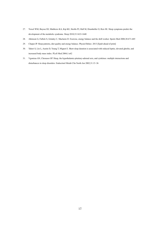- 27. Troxel WM, Buysse DJ, Matthews KA, Kip KE, Strollo PJ, Hall M, Drumheller O, Reis SE. Sleep symptoms predict the development of the metabolic syndrome. Sleep 2010;33:1633-1640
- 28. Atkinson G, Fullick S, Grindey C, Maclaren D. Exercise, energy balance and the shift worker. Sports Med 2008;38:671-685
- 29. Chaput JP. Sleep patterns, diet quality and energy balance. Physiol Behav. 2013 [Epub ahead of print]
- 30. Taheri S, Lin L, Austin D, Young T, Mignot E. Short sleep duration is associated with reduced leptin, elevated ghrelin, and increased body mass index. PLoS Med 2004;1:e62
- 31. Vgontzas AN, Chrousos GP. Sleep, the hypothalamic-pituitary-adrenal axis, and cytokines: multiple interactions and disturbances in sleep disorders. Endocrinol Metab Clin North Am 2002;31:15–36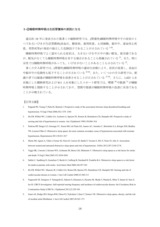#### 3**-**②睡眠時無呼吸は生活習慣病の原因になる

過去約 10 年に発表された数多くの縦断研究では、(閉塞性)睡眠時無呼吸やその症状の1 つであるいびきが生活習慣病(高血圧、糖尿病、歯周疾患、心房細動、脳卒中、虚血性心疾 患、突然死等)の発症の独立した危険因子であることが示されている 1-20。

睡眠時無呼吸でよく認められる症状は、大きないびきや日中の強い眠気、疲労感である が、眠気がなくても睡眠時無呼吸を有する場合があることも指摘されている <sup>21</sup>。また、特に 女性では睡眠時無呼吸があっても、いびきがないことがあることも示されている  $^{22}$ 

多くの介入研究では、(閉塞性)睡眠時無呼吸の適切な治療により、症状が改善し、高血圧 や脳卒中の危険性も低下することが示されている 23-26。また、いくつかの介入研究では、肥 満の者では減量が睡眠時無呼吸を改善させることが示されている <sup>27-29</sup>。さらに、1,425 人を 対象にした横断研究および 811 人を対象にしたコホート研究では、喫煙 30 や飲酒 31が睡眠 時無呼吸と関係することが示されており、禁煙や節酒が睡眠時無呼吸の改善に有効である ことが示唆されている。

- 1. Peppard PE, Young T, Palta M, Skatrud J. Prospective study of the association between sleep-disordered breathing and hypertension. N Engl J Med 2000;342:1378–1384
- 2. Hu FB, Willett WC, Colditz GA, Ascherio A, Speizer FE, Rosner B, Hennekens CH, Stampfer MJ. Prospective study of snoring and risk of hypertension in women. Am J Epidemiol 1999;150:806–816
- 3. Pedrosa RP, Drager LF, Gonzaga CC, Sousa MG, de Paula LK, Amaro AC, Amodeo C, Bortolotto LA, Krieger EM, Bradley TD, Lorenzi-Filho G. Obstructive sleep apnea: the most common secondary cause of hypertension associated with resistant hypertension, Hypertension 2011;58:811-817
- 4. Marin JM, Agusti A, Villar I, Forner M, Nieto D, Carrizo SJ, Barbé F, Vicente E, Wei Y, Nieto FJ, Jelic S. Association between treated and untreated obstructive sleep apnea and risk of hypertension. JAMA 2012;307:2169-2176
- 5. Yaggi HK, Concato J, Kernan WN, Lichtman JH, Brass LM, Mohsenin V. Obstructive sleep apnea as a risk factor for stroke and death. N Engl J Med 2005;353:2034-2041
- 6. Sahlin C, Sandberg O, Gustafson Y, Bucht G, Carlberg B, Stenlund H, Franklin KA. Obstructive sleep apnea is a risk factor for death in patients with stroke. Arch Intern Med 2008;168:297-301
- 7. Hu FB, Willett WC, Manson JE, Colditz GA, Rimm EB, Speizer FE, Hennekens CH, Stampfer MJ. Snoring and risk of cardiovascular disease in women. J Am Coll Cardiol 2000;35:308-313
- 8. Nagayoshi M, Tanigawa T, Yamagishi K, Sakurai S, Kitamura A, Kiyama M, Okada T, Maeda K, Ohira T, Imano H, Sato S, Iso H; CIRCS Investigators. Self-reported snoring frequency and incidence of cardiovascular disease: the Circulatory Risk in Communities Study (CIRCS). J Epidemiol 2012;22:295-301
- 9. Gami AS, Hodge DO, Herges RM, Olson EJ, Nykodym J, Kara T, Somers VK. Obstructive sleep apnea, obesity, and the risk of incident atrial fibrillation. J Am Coll Cardiol 2007;49:565–571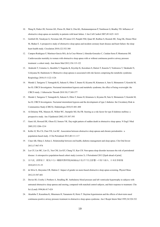- 10. Wang H, Parker JD, Newton GE, Floras JS, Mak S, Chiu KL, Ruttanaumpawan P, Tomlinson G, Bradley TD. Influence of obstructive sleep apnea on mortality in patients with heart failure. J Am Coll Cardiol 2007;49:1625–1631
- 11. Gottlieb DJ, Yenokyan G, Newman AB, O'Connor GT, Punjabi NM, Quan SF, Redline S, Resnick HE, Tong EK, Diener-West M, Shahar E. A prospective study of obstructive sleep apnea and incident coronary heart disease and heart failure: the sleep heart health study. Circulation 2010;122:352-360
- 12. Campos-Rodriguez F, Martinez-Garcia MA, de la Cruz-Moron I, Almeida-Gonzalez C, Catalan-Serra P, Montserrat JM. Cardiovascular mortality in women with obstructive sleep apnea with or without continuous positive airway pressure treatment: a cohort study. Ann Intern Med 2012;156:115-122
- 13. Akahoshi T, Uematsu A, Akashiba T, Nagaoka K, Kiyofuji K, Kawahara S, Hattori T, Kaneita Y, Yoshizawa T, Takahashi N, Uchiyama M, Hashimoto S. Obstructive sleep apnoea is associated with risk factors comprising the metabolic syndrome. Respirology 2010;15:1122-1126
- 14. Muraki I, Tanigawa T, Yamagishi K, Sakurai S, Ohira T, Imano H, Kiyama M, Kitamura A, Sato S, Shimamoto T, Konishi M, Iso H; CIRCS Investigators. Nocturnal intermittent hypoxia and metabolic syndrome; the effect of being overweight: the CIRCS study. J Atheroscler Thromb 2010 30;17:369-377
- 15. Muraki I, Tanigawa T, Yamagishi K, Sakurai S, Ohira T, Imano H, Kitamura A, Kiyama M, Sato S, Shimamoto T, Konishi M, Iso H; CIRCS Investigators. Nocturnal intermittent hypoxia and the development of type 2 diabetes: the Circulatory Risk in Communities Study (CIRCS). Diabetologia 2010;53:481-488
- 16. Al-Delaimy WK, Manson JE, Willett WC, Stampfer MJ, Hu FB. Snoring as a risk factor for type II diabetes mellitus: a prospective study. Am J Epidemiol 2002;155:387-393
- 17. Gami AS, Howard DE, Olson EJ, Somers VK. Day-night pattern of sudden death in obstructive sleep apnea. N Engl J Med 2005;352:1206-1214
- 18. Keller JJ, Wu CS, Chen YH, Lin HC. Association between obstructive sleep apnoea and chronic periodontitis : a population-based study. J Clin Periodonal 2013;40:111-117
- 19. Cinar AB, Oktay I, Schou L. Relationship between oral health, diabetes management and sleep apnea. Clin Oral Invest 2013;17:967-974
- 20. Lee CF, Lin MC, Lin CL, Yen CM, Lin KY, Chang YJ, Kao CH. Non-apnea sleep disorder increases the risk of periodontal disease: A retrospective population-based cohort study (version 3). J Periodontol 2013 [Epub ahead of print]
- 21. 谷川武, 淡野桜子. 眠気のない睡眠時無呼吸(NOSSA)が及ぼす社会影響への取り組み, 日本医事新報 2010;4513:51-55
- 22. de Silva S, Abeyratne UR, Hukins C. Impact of gender on snore-based obstructive sleep apnea screening. Physiol Meas 2012;33:587-601
- 23. Davies RJ, Crosby J, Prothero A, Stradling JR. Ambulatory blood pressure and left ventricular hypertrophy in subjects with untreated obstructive sleep apnoea and snoring, compared with matched control subjects, and their response to treatment. Clin Sci (Lond) 1994;86:417-424
- 24. Akashiba T, Kurashina K, Minemura H, Yamamoto H, Horie T. Daytime hypertension and the effects of short-term nasal continuous positive airway pressure treatment in obstructive sleep apnea syndrome. Am J Respir Intern Med 1995;34:528-532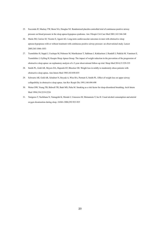- 25. Faccenda JF, Mackay TW, Boon NA, Douglas NJ. Randomized placebo-controlled trial of continuous positive airway pressure on blood pressure in the sleep apnea-hypopnea syndrome. Am J Respir Crit Care Med 2001;163:344-348
- 26. Marin JM, Carrizo SJ, Vicente E, Agusti AG. Long-term cardiovascular outcomes in men with obstructive sleep apnoea-hypopnoea with or without treatment with continuous positive airway pressure: an observational study. Lancet 2005;365:1046-1053
- 27. Tuomilehto H, Seppä J, Uusitupa M, Peltonen M, Martikainen T, Sahlman J, Kokkarinen J, Randell J, Pukkila M, Vanninen E, Tuomilehto J, Gylling H; Kuopio Sleep Apnea Group. The impact of weight reduction in the prevention of the progression of obstructive sleep apnea: an explanatory analysis of a 5-year observational follow-up trial. Sleep Med 2014;15:329-335
- 28. Smith PL, Gold AR, Meyers DA, Haponik EF, Bleecker ER. Weight loss in mildly to moderately obese patients with obstructive sleep apnea. Ann Intern Med 1985;103:850-855
- 29. Schwartz AR, Gold AR, Schubert N, Stryzak A, Wise RA, Permutt S, Smith PL. Effect of weight loss on upper airway collapsibility in obstructive sleep apnea. Am Rev Respir Dis 1991;144:494-498
- 30. Wetter DW, Young TB, Bidwell TR, Badr MS, Palta M. Smoking as a risk factor for sleep-disordered breathing. Arch Intern Med 1994;154:2219-2224
- 31. Tanigawa T, Tachibana N, Yamagishi K, Muraki I, Umesawa M, Shimamoto T, Iso H. Usual alcohol consumption and arterial oxygen desaturation during sleep. JAMA 2004;292:923-925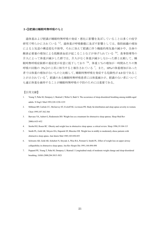#### 3**-**③肥満は睡眠時無呼吸のもと

過体重および肥満が睡眠時無呼吸の発症・悪化に影響を及ぼしていることは多くの疫学 研究で明らかにされている 1,2。過体重が呼吸動態に及ぼす影響としては、脂肪組織の増加 による上気道の構造変化や狭窄、それに加えて肥満に伴う機能的残気量の減少や、全身の 酸素必要量の増加による低酸素血症が起こることなどが挙げられている<sup>3,4</sup>。食事指導等の 介入によって体重が減少した群では、介入がなく体重が減少しなかった群と比較して、睡 眠時無呼吸症候群の重症度が有意に低下しており 5,6、体重1%の増加が一時間あたりの無 呼吸の回数の 3%分の上昇に相当すると報告されている <sup>7</sup>。また、10%の体重増加があった 者では体重の増加がないものと比較して、睡眠時無呼吸を発症する危険性が 6.0 倍であるこ とが示されている <sup>7</sup>。肥満のある睡眠時無呼吸患者には体重減少が、肥満のない者について も適正体重を維持することが睡眠時無呼吸の予防のためには重要である。

- 1. Young T, Palta M, Dempsey J, Skatrud J, Weber S, Badr S. The occurrence of sleep-disordered breathing among middle-aged adults. N Engl J Med 1993;328:1230-1235
- 2. Millman RP, Carlisle CC, McGarvey ST, Eveloff SE, Levinson PD. Body fat distribution and sleep apnea severity in women. Chest 1995;107:362-366
- 3. Barvaux VA, Aubert G, Rodenstein DO. Weight loss as a treatment for obstructive sleep apnoea. Sleep Med Rev 2000;4:435-452
- 4. Strobel RJ, Rosen RC. Obesity and weight loss in obstructive sleep apnea: a critical review. Sleep 1996;19:104-115
- 5. Smith PL, Gold AR, Meyers DA, Haponik EF, Bleecker ER. Weight loss in mildly to moderately obese patients with obstructive sleep apnea. Ann Intern Med 1985;103:850-855
- 6. Schwartz AR, Gold AR, Schubert N, Stryzak A, Wise RA, Permutt S, Smith PL. Effect of weight loss on upper airway collapsibility in obstructive sleep apnea. Am Rev Respir Dis 1991;144:494-498
- 7. Peppard PE, Young T, Palta M, Dempsey J, Skatrud J. Longitudinal study of moderate weight change and sleep-disordered breathing. JAMA 2000;284:3015-3021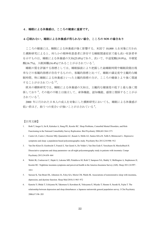# 4.睡眠による休養感は、こころの健康に重要です。

# 4**-**①眠れない、睡眠による休養感が得られない場合、こころの **SOS** の場合あり

こころの健康には、睡眠による休養感が強く影響する。米国で 10,000 人を対象に行われ た横断研究によると、何らかの精神疾患患者に併存する睡眠関連症状で最も高い有訴者率 を示すものは、睡眠による休養感の欠如(25.0%)であり、次いで、中途覚醒(19.9%)、早朝覚 醒(16.7%)、入眠困難(16.4%)であることが示されている <sup>1</sup>。

睡眠の質を評価する指標としては、睡眠脳波により把握した総睡眠時間や睡眠段階出現 率などの客観的指標が存在するものの、客観的指標と比べて、睡眠の満足度や主観的な睡 眠時間、特に睡眠による休養感といった主観的指標の方が、こころの健康とより強く関連 することが示されている 2,3。

欧米の横断研究では、睡眠による休養感の欠如は、主観的な健康度の低下と最も強く関 係しており <sup>4</sup>、その他の不眠とは独立して、身体機能、認知機能、感情と関係することが示 されている <sup>5</sup>。

2000 年に行われた日本人の成人を対象にした横断研究においても、睡眠による休養感が 低い者ほど、抑うつの度合いが強いことが示されている<sup>6</sup>。

- 1. Roth T, Jaeger S, Jin R, Kalsekar A, Stang PE, Kessler RC. Sleep Problems, Comorbid Mental Disorders, and Role Functioning in the National Comorbidity Survey Replication. Biol Psychiatry 2006;60:1364-1371
- 2. Castro LS, Castro J, Hoexter MQ, Quarantini LC, Kauati A, Mello LE, Santos-Silva R, Tufik S, Bittencourt L. Depressive symptoms and sleep: a population-based polysomnographic study. Psychiatry Res 2013;210:906–912
- 3. Van Der Kloet D, Giesbrecht T, Franck E, Van Gastel A, De Volder I, Van Den Eede F, Verschuere B, Merckelbach H. Dissociative symptoms and sleep parameters--an all-night polysomnography study in patients with insomnia. Compr Psychiatry 2013;54:658–664
- 4. Walsh JK, Coulouvrat C, Hajak G, Lakoma MD, Petukhova M, Roth T, Sampson NA, Shahly V, Shillington A, Stephenson JJ, Kessler RC. Nighttime insomnia symptoms and perceived health in the America Insomnia Survey (AIS). Sleep 2011;34:997– 1011
- 5. Sarsour K, Van Brunt DL, Johnston JA, Foley KA, Morin CM, Walsh JK. Associations of nonrestorative sleep with insomnia, depression, and daytime function. Sleep Med 2010;11:965–972
- 6. Kaneita Y, Ohida T, Uchiyama M, Takemura S, Kawahara K, Yokoyama E, Miyake T, Harano S, Suzuki K, Fujita T. The relationship between depression and sleep disturbances: a Japanese nationwide general population survey. J Clin Psychiatry 2006;67:196–203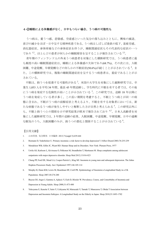#### 4**-**②睡眠による休養感がなく、日中もつらい場合、うつ病の可能性も

うつ病は、憂うつ感、悲愴感、空虚感といった気分の落ち込みとともに、興味の減退、 喜びの減少をほぼ一日中呈する精神疾患である。うつ病はしばしば食欲の低下、易疲労感、 消化器症状、身体疼痛などの身体症状を伴うが、睡眠関連症状もその代表的な症状の一つ であり<sup>1,2</sup>、ほとんどの患者が何らかの睡眠障害を呈することが報告されている<sup>2,3</sup>。

青年期のフィンランド人の外来うつ病患者を対象にした横断研究では、うつ病患者に最 も頻度の高い睡眠関連症状は、睡眠による休養感の欠如であり(68.7%)、その次には、入眠 困難、中途覚醒、早朝覚醒などの何らかの不眠症状(50.6%)が続くことが示されている <sup>4</sup>。ま た、この横断研究では、複数の睡眠関連症状を呈するうつ病患者は、重症であることが示 されている。

不眠は、抑うつを促進する可能性がある <sup>2</sup>。米国の大学生を対象にした縦断研究では、卒 業生 1,053 人を平均 34 年間、最長 45 年間追跡し、学生時代に不眠を有する者では、その後 にうつ病を発症する危険性が高いことが示されている5。この研究では、追跡 18年以降に うつ病を発症している者が多く、この長い期間を考慮すると、不眠とうつ病とが同一の病 態に含まれ、不眠がうつ病の前駆症状と考えるより、不眠を有する対象者においては、新 たな病態であるうつ病が発生しやすいと解釈した方が自然と考えられる5。この研究以外に も、不眠と抑うつとの関係を示す研究結果が欧米で報告されており 6,7、日本人高齢者を対 象にした縦断研究では、3 年間の追跡の結果、入眠困難、中途覚醒、早朝覚醒、日中の過剰 な眠気のうち、入眠困難のみが、抑うつの悪化と関係することが示されている <sup>8</sup>。

- 1. 山田尚登. 気分障害. 日本臨牀 2013;71(suppl 5):639-644
- 2. Riemann D, Voderholzer U. Primary insomnia: a risk factor to develop depression? J Affect Disord 2003;76:255-259
- 3. Mendelson WB, Gillin JC, Wyatt RD. Human Sleep and its Disorders. New York: Plenum Press, 1977
- 4. Urrila AS, Karlsson L, Kiviruusu O, Pelkonen M, Strandholm T, Marttunen M. Sleep complaints among adolescent outpatients with major depressive disorder. Sleep Med 2012;13:816-823
- 5. Chang PP, Ford DE, Mead LA, Cooper-Patrick L, Klag MJ. Insomnia in young men and subsequent depression. The Johns Hopkins Precursors Study. Am J Epidemiol 1997;146:105-114
- 6. Morphy H, Dunn KM, Lewis M, Boardman HF, Croft PR. Epidemiology of Insomnia:a Longitudinal Study in a UK Population. Sleep 2007;30:274-280
- 7. Buysse DJ, Angst J, Gamma A, Ajdacic V, Eich D, Rössler W. Prevalence, Course, and Comorbidity of Insomnia and Depression in Young Adults. Sleep 2008;31:473-480
- 8. Yokoyama E, Kaneita Y, Saito Y, Uchiyama M, Matsuzaki Y, Tamaki T, Munezawa T, Ohida T Association between Depression and Insomnia Subtypes: A Longitudinal Study on the Elderly in Japan. Sleep 2010;33:1693-1702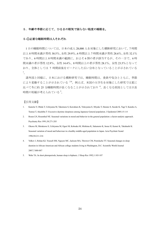#### 5.年齢や季節に応じて、ひるまの眠気で困らない程度の睡眠を。

#### 5**-**①必要な睡眠時間は人それぞれ

1 日の睡眠時間については、日本の成人 28,000 人を対象にした横断研究において、7 時間 以上 8 時間未満が男性 30.5%、女性 29.9%、6 時間以上 7 時間未満が男性 28.6%、女性 32.1% であり、6 時間以上 8 時間未満の範囲に、およそ 6 割の者が該当するが、その一方で、6 時 間未満の者が男性 12.9%、女性 14.4%、8 時間以上の者が男性 28.1%、女性 23.5%となって おり、全体としては 7 時間前後をピークにした広い分布となっていることが示されている  $\frac{1}{\circ}$ 

諸外国と同様に、日本における横断研究では、睡眠時間は、食欲や気分とともに、季節 により変動することが示されている 24。例えば、米国の大学生を対象にした研究では夏に 比べて冬に約 25 分睡眠時間が長くなることが示されており 4、長くなる原因としては日長 時間の短縮が考えられている5。

- 1. Kaneita Y, Ohida T, Uchiyama M, Takemura S, Kawahara K, Yokoyama E, Miyake T, Harano S, Suzuki K, Yagi Y, Kaneko A, Tsutsui T, Akashiba T: Excessive daytime sleepiness among Japanese General population. J Epidemiol 2005;15:1-8
- 2. Rosen LN, Rosenthal NE. Seasonal variations in mood and behavior in the general population: a factor-analytic approach. Psychiatry Res 1991;38:271-283
- 3. Okawa M, Shirakawa S, Uchiyama M, Oguri M, Kohsaka M, Mishima K, Sakamoto K, Inoue H, Kamei K, Takahashi K: Seasonal variation of mood and behaviour in a healthy middle-aged population in Japan. Acta Psychiatr Scand 1996;94:211-216
- 4. Volkov J, Rohan KJ, Yousufi SM, Nguyen MC, Jackson MA, Thrower CM, Postolache TT. Seasonal changes in sleep duration in African American and African college students living in Washington, D.C. Scientific World Journal 2007;7:880-887
- 5. Wehr TA. In short photoperiods, human sleep is biphasic. J Sleep Res 1992;1:103-107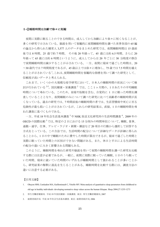#### 5**-**②睡眠時間は加齢で徐々に短縮

夜間に実際に眠ることのできる時間は、成人してから加齢により徐々に短くなることが、 多くの研究で示されている。脳波を用いて客観的に夜間睡眠時間を調べた世界各国の 65 編 の論文から得られた健常人 3,577 人のデータをまとめた研究では、夜間睡眠時間は 15 歳前 後では 8 時間、25 歳で約 7 時間、 その後 20 年経って、45 歳には約 6.5 時間、さらに 20 年経って 65 歳には約 6 時間というように、成人してからは 20 年ごとに 30 分程度の割合 で夜間睡眠時間は減少することが示されている。一方、夜間に寝床で過ごした時間は、20 〜30 歳代では 7 時間程度であるが、45 歳以上では徐々に増加し、75 歳では 7.5 時間を越え ることが示されている<sup>1</sup>。これは、夜間睡眠時間を客観的な指標を用いて調べた研究として、 信頼度が高いデータと考えられる。

これまで、いくつかの大規模な疫学研究において、日本人の睡眠時間の状況について検 討が行われている  $^{2-5}$ 。国民健康・栄養調査  $^2$  では、ここ1ヶ月間の、1日あたりの平均睡眠 時間について尋ねている。このため、昼寝や仮眠を含む、自覚的に 1 日に眠った時間を調 査していることとなり、夜間睡眠のみについて調べた研究に比べて高齢者の睡眠時間が長 くなっている。過去の研究では、7 時間前後の睡眠時間の者では、生活習慣病や死亡に至る 危険性が最も低いことが示されているが、これらの研究結果は、直接、1 日の睡眠時間を尋 ねた調査に基づくものである。

一方、平成 18年社会生活基本調査 3 や NHK 放送文化研究所の生活時間調査 4、2009年の OECD の国際比較<sup>5</sup>では、特定の2日における15分刻みの時間単位について、睡眠、食事、 通勤・通学、仕事、テレビ・ラジオ・新聞・雑誌など 20 項目の行動から選択して回答する 方式をとっている。この方法では、生活時間の配分について詳細なデータが詳細に得られ ることから、1 日の中で睡眠のために費やした時間が算出できるが、寝床で過ごした時間と 実際に眠っていた時間との区別ができない問題がある。また、休日と平日による生活時間 の配分の違いに大きく影響される問題もある。

このように、睡眠時間を尋ねた研究や脳波を用いて夜間の睡眠時間を調べた研究を比較 する際には注意が必要であるが、一般に、夜間に実際に眠っていた睡眠、1 日のうち眠って いた時間、寝床に就いていた時間のいずれもが睡眠時間として扱われることが多いことか ら、研究結果の解釈に混乱を生じることがある。睡眠時間を比較する際には、調査方法の 違いに注意する必要がある。

- 1. Ohayon MM, Carskadon MA, Guilleminault C, Vitiello MV. Meta-analysis of quantitative sleep parameters from childhood to old age in healthy individuals: developing normative sleep values across the human lifespan. Sleep 2004;27:1255-1273
- 2. 厚生労働省健康局. 平成 19 年国民健康・栄養調査. 東京: 厚生労働省健康局, 2007
- 3. 総務省統計局. 平成 18 年社会生活基本調査. 東京: 総務省統計局, 2006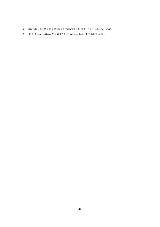- 4. NHK 放送文化研究所. 2010 年国民生活時間調査報告書. 東京: 日本放送協会, 2011;47-48
- 5. OECD. Society at a Glance 2009: OECD Social Indicators. Paris: OECD Publishing, 2009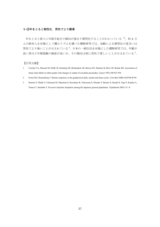# 5**-**③年をとると朝型化 男性でより顕著

年をとると徐々に早寝早起きの傾向が強まり朝型化することがわかっている 1,2。約6万 人の欧州人を対象にして概日リズムを調べた横断研究では、加齢による朝型化の度合いは 男性でより強いことが示されている <sup>2</sup>。日本の一般住民を対象にした横断研究では、年齢が 高い者ほど早朝覚醒の頻度が高いが、その傾向は特に男性で著しいことが示されている <sup>3</sup>。

- 1. Czeisler CA, Dumont M, Duffy JF, Steinberg JD, Richardson GS, Brown EN, Sánchez R, Ríos CD, Ronda JM. Association of sleep-wake habits in older people with changes in output of circadian pacemaker. Lancet 1992;340:933-936
- 2. Foster RG, Roenneberg T. Human responses to the geophysical daily, annual and lunar cycles. Curr Biol 2008;18:R784-R794
- 3. Kaneita Y, Ohida T, Uchiyama M, Takemura S, Kawahara K, Yokoyama E, Miyake T, Harano S, Suzuki K, Yagi Y, Kaneko A, Tsutsui T, Akashiba T. Excessive daytime sleepiness among the Japanese general population. J Epidemiol 2005;15:1-8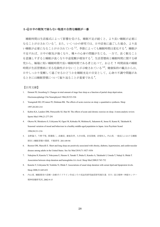#### 5**-**④日中の眠気で困らない程度の自然な睡眠が一番

睡眠時間は生活様式によって影響を受ける。睡眠不足が続くと、より長い睡眠が必要に なることが示されている <sup>1</sup>。また、いくつかの研究では、日中活発に過ごした場合、より長 い睡眠が必要になることが示されている
<sup>2,3</sup>。季節によっても睡眠時間は変化する
<sup>4</sup>。睡眠が 不足すれば、日中の眠気が強くなり、種々の心身の問題が生じる。一方で、長く眠ること を意識しすぎると睡眠が浅くなり中途覚醒が増加する <sup>5</sup>。生活習慣病と睡眠時間に関する研 究から、極端に短い睡眠時間や長い睡眠時間である者と比べて、およそ 7 時間前後の睡眠 時間が生活習慣病に至る危険性が少ないことが示唆されている 6-8。健康保持の観点からは、 日中しっかり覚醒して過ごせるかどうかを睡眠充足の目安として、心身の不調や問題があ るときには睡眠習慣について振り返ることが重要である <sup>9</sup>。

- 1. Dement W, Greenberg S. Changes in total amount of stage four sleep as a function of partial sleep deprivation. Electroencephalogr Clin Neurophysiol 1966;20:523-526
- 2. Youngstedt SD, O'Connor PJ, Dishman RK. The effects of acute exercise on sleep: a quantitative synthesis. Sleep 1997;20:203-214
- 3. Kubitz KA, Landers DM, Petruzzello SJ, Han M. The effects of acute and chronic exercise on sleep. A meta-analytic review. Sports Med 1996;21:277-291
- 4. Okawa M, Shirakawa S, Uchiyama M, Oguri M, Kohsaka M, Mishima K, Sakamoto K, Inoue H, Kamei K, Takahashi K. Seasonal variation of mood and behaviour in a healthy middle-aged population in Japan. Acta Psychiatr Scand 1996;94:211-216
- 5. 金野倫子, 今野千聖, 降籏隆二, 高橋栄, 兼板佳孝, 大井田隆, 赤星俊樹, 赤柴恒人, 内山真. 一般成人における睡眠 障害と睡眠習慣の関係. 不眠研究 2011:89-94
- 6. Buxton OM, Marcelli E. Short and long sleep are positively associated with obesity, diabetes, hypertension, and cardiovascular disease among adults in the United States. Soc Sci Med 2010;71:1027-1036
- 7. Nakajima H, Kaneita Y, Yokoyama E, Harano S, Tamaki T, Ibuka E, Kaneko A, Takahashi I, Umeda T, Nakaji S, Ohida T. Association between sleep duration and hemoglobin A1c level. Sleep Med 2008;9:745-752
- 8. Kaneita Y, Uchiyama M, Yoshiike N, Ohida T. Associations of usual sleep duration with serum lipid and lipoprotein levels. Sleep 2008;31:645-652
- 9. 内山真. 睡眠障害の診断・治療ガイドライン作成とその実証的研究総括研究報告書. 市川: 国立精神・神経センター 精神保健研究所, 2002:9-15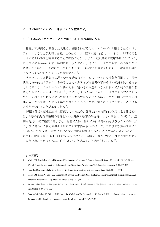#### 6. 良い睡眠のためには、環境づくりも重要です。

#### 6**-**①自分にあったリラックス法が眠りへの心身の準備となる

覚醒水準が高く、興奮した状態は、睡眠を妨げるため、スムーズに入眠するためにはリ ラックスすることが大切である。このためには、寝床に就く前に少なくとも 1 時間は何も しないでよい時間を確保することが有効である <sup>1</sup>。また、睡眠時間や就床時刻にこだわり、 眠くないにもかかわらず、無理に眠ろうとすると、逆にリラックスできず、寝つきを悪化 させることがある。そのため、およそ 30 分以上寝床で目が覚めていたら、一度寝室を離れ るなどして気分を変える工夫が大切である <sup>1</sup>。

リラックスした状態では思考や不安感情などが生じにくいという現象を利用して、就寝 状況で身体的なリラックスを得ることでネガティブな思考や不安感情の低減を試みる方法 として様々なリラクゼーション法があり、寝つきに問題のある人において入眠の改善など をもたらすことが示されている 2,3。ただし、ある人がいつもリラックスできる方法であっ ても、そのときの状況によってはリラックスできないこともあり、また、同じ方法がその 他の人にとっては、かえって緊張が増すこともあるため、個人にあったリラックスできる 方法を見つけることが重要である<sup>4</sup>。

睡眠と体温の変化は密接に関係しているため、就寝 0.5~6 時間前の入浴による体温変化 は、入眠の促進や深睡眠の増加といった睡眠の改善効果を持つことが示されている 5-9。適 切な時刻に 40℃程度の高すぎない湯温で入浴するのであれば精神的なリラックス効果に加 え、湯に浸かって軽く体温を上げることで末梢血管が拡張して、その後の放熱が活発にな り、寝ついてから90分前後における深い睡眠を増加させることにつながると考えられる?。 ただし、就寝直前に 42℃以上の高温浴を行うと、体温を上昇させすぎ心身を目覚めさせて しまうため、かえって入眠が妨げられることがあることが示されている <sup>10</sup>。

- 1. Morin CM. Psychological and Behavioral Treatments for Insomnia I: Approaches and Efficacy. Kryger MH, Roth T, Dement WC ed. Principles and practice of sleep medicine, 5th edition. Philadelphia: W.B. Saunders Company, 2010;866-883
- 2. Hauri PJ. Can we mix behavioral therapy with hypnotics when treating insomniacs? Sleep 1997;20:1111-1118
- 3. Morin CM, Hauri PJ, Espie CA, Spielman AJ, Buysse DJ, Bootzin RR. Nonpharmacologic treatment of chronic insomnia. An American Academy of Sleep Medicine review. Sleep 1999;22:1134-1156
- 4. 内山真. 睡眠障害の診断・治療ガイドライン作成とその実証的研究総括研究報告書. 市川: 国立精神・神経センター 精神保健研究所, 2002: 9-15
- 5. Dorsey CM, Lukas SE, Teicher MH, Harper D, Winkelman JW, Cunningham SL, Satlin A. Effects of passive body heating on the sleep of older female insomniacs. J Geriatr Psychiatry Neurol 1996;9:83-90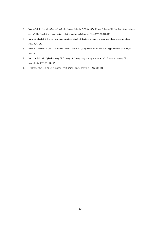- 6. Dorsey CM, Teicher MH, Cohen-Zion M, Stefanovic L, Satlin A, Tartarini W, Harper D, Lukas SE. Core body temperature and sleep of older female insomniacs before and after passive body heating. Sleep 1999;22:891-898
- 7. Horne JA, Shackell BS. Slow wave sleep elevations after body heating: proximity to sleep and effects of aspirin. Sleep 1987;10:383-392
- 8. Kanda K, Tochihara Y, Ohnaka T. Bathing before sleep in the young and in the elderly. Eur J Appl Physiol Occup Physiol 1999;80:71-75
- 9. Horne JA, Reid AJ. Night-time sleep EEG changes following body heating in a warm bath. Electroencephalogr Clin Neurophysiol 1985;60:154-157
- 10. 小川徳雄. 温浴と運動. 鳥居鎮夫編. 睡眠環境学. 東京: 朝倉書店, 1999; 203-210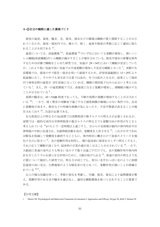#### 6**-**②自分の睡眠に適した環境づくり

寝室の温度、湿度、騒音、光、寝具、寝衣などの環境は睡眠の質と関係することが示さ れているため、寝室・寝床内では、静かで、暗く、温度や湿度が季節に応じて適切に保た れることが大切である 1,2。

温度については、高温環境 3-6、低温環境 5,6 のいずれにおいても覚醒が増加し、深いノン レム睡眠(徐波睡眠)やレム睡眠が減少することが報告されている。寝具や寝衣の影響を除外 するためほぼ裸で睡眠をとらせた研究では、気温が 29~34℃において睡眠が安定していた が、これより低い気温や高い気温では中途覚醒が増加し不安定な睡眠となった <sup>5</sup>。実際の生 活環境では、寝室の中で寝具・寝衣を用いて就寝するため、許容室温範囲は 13~29℃より 低温側に広く、その中でも実生活では夏では高め、冬では低めとなるが、結果として寝床 内で身体近傍の温度が 33℃前後になっていれば、睡眠の質的低下はみられないと考えられ ている $2<sub>e</sub>$ また、同一の温度環境下では、高湿度になると覚醒が増加し、深睡眠が減少する ことが示されている 6。

夜間の騒音は、45~55dB 程度であっても、不眠や夜間の覚醒が増加することが示されて いる 8,9 「一方で、暗く無音の実験室で過ごすなど感覚刺激が極端に少ない条件では、反対 に覚醒度が高まり、物音などの些細な刺激が気になったり、不安や緊張が高まることが報 告されており <sup>10</sup>、注意が必要である。

ある程度以上の明るさの光(昼間では窓際程度の数千ルクスの明るさが必要とされるが、 夜間では一般的な室内天井照明程度の数百ルクスの明るさでも覚醒方向の作用が生じると 考えられている <sup>11</sup> )のもとで一定時間以上過ごすと、目からの光情報が脳内の体内時計や自 律神経の中枢に伝達され、交感神経活動を高め、覚醒度を上昇させる <sup>12</sup>。これが日中であれ ば眠気を低減して覚醒度を維持するとともに、体内時計に働きかけて昼夜のメリハリを強 化するのに役立つ <sup>13</sup>。光の覚醒作用を利用し、朝の起床前に寝室を少しずつ明るくすると、 それに応じて睡眠が浅くなり、起床時の目覚め感が良くなることが示されている <sup>14</sup>。一方で、 入眠前に普通の室内よりも明るい光の下で数十分過ごすだけでも、光の覚醒作用や体内時 計を介したリズムを遅らせる作用のために、入眠が妨げられる <sup>15</sup>。普通の室内の明るさで光 の質について検討した研究では、明るさが同じでも、青白い光や白っぽい光のように相関 色温度の高い光は、白熱電球のような暖色系の光と比べて、覚醒作用が強いことが指摘さ れている 16,17。

以上の様な知識を持って、季節の変化を考慮し、空調、寝具、寝衣により温熱環境を整 え、覚醒作用のある光や騒音を適正化し、適切な睡眠環境を保つ工夫をすることが重要で ある。

<sup>1.</sup> Morin CM. Psychological and Behavioral Treatments for Insomnia I: Approaches and Efficacy. Kryger M, Roth T, Dement W,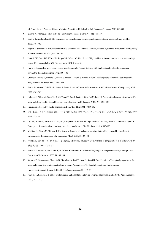ed. Principles and Practice of Sleep Medicine. 5th edition. Philadelphia: WB Saunders Company, 2010:866-883

- 2. 梁瀬度子. 温熱環境. 鳥居鎮夫 編. 睡眠環境学. 東京: 朝倉書店, 1999;152-157
- 3. Bach V, Telliez F, Libert JP. The interaction between sleep and thermoregulation in adults and neonates. Sleep Med Rev 2002;6:481-492
- 4. Buguet A. Sleep under extreme environments: effects of heat and cold exposure, altitude, hyperbaric pressure and microgravity in space. J Neurol Sci 2007;262:145-152
- 5. Haskell EH, Palca JW, Walker JM, Berger RJ, Heller HC. The effects of high and low ambient temperatures on human sleep stages. Electroencephalogr Clin Neurophysiol 1981;51:494-501
- 6. Horne J. Human slow wave sleep: a review and appraisal of recent findings, with implications for sleep functions, and psychiatric illness. Experientia 1992;48:941-954
- 7. Okamoto-Mizuno K, Mizuno K, Michie S, Maeda A, Iizuka S. Effects of humid heat exposure on human sleep stages and body temperature. Sleep 1999;22:767-773
- 8. Basner M, Glatz C, Griefahn B, Penzel T, Samel A. Aircraft noise: effects on macro- and microstructure of sleep. Sleep Med 2008;9:382-387
- 9. Halonen JI, Vahtera J, Stansfeld S, Yli-Tuomi T, Salo P, Pentti J, Kivimäki M, Lanki T. Associations between nighttime traffic noise and sleep: the Finnish public sector study. Environ Health Perspect 2012;120:1391-1396
- 10. Harvey AG. A cognitive model of insomnia. Behav Res Ther 2002;40:869-893
- 11. 小山恵美. ヒトの社会生活における光環境と生物時計について一工学および文化的考察ー. 時間生物学 2011;17:35-44
- 12. Dijk DJ, Boulos Z, Eastman CI, Lewy AJ, Campbell SS, Terman M. Light treatment for sleep disorders: consensus report. II. Basic properties of circadian physiology and sleep regulation. J Biol Rhythms 1995;10:113-125
- 13. Mishima K, Okawa M, Shimizu T, Hishikawa Y. Diminished melatonin secretion in the elderly caused by insufficient environmental illumination. J Clin Endocrinol Metab 2001;86:129-134
- 14. 野口公喜, 白川修一郎, 駒田陽子, 小山恵美, 阪口敏彦. 天井照明を用いた起床前漸増光照射による目覚めの改善. 照明学会誌 2001;85:315-322
- 15. Komada Y, Tanaka H, Yamamoto Y, Shirakawa S, Yamazaki K. Effects of bright light pre-exposure on sleep onset process. Psychiatry Clin Neurosci 2000;54:365-366
- 16. Koyama E, Hasegawa A, Okamoto N, Matsubara A, Ishii Y, Ueno K, Sawai H. Consideration of the optical properties in the nocturnal indoor light environment related to sleep. Proceedings of the Fourth International Conference on Human-Environment System; ICHES2011 in Sapporo, Japan. 2011:49-54
- 17. Noguchi H, Sakaguchi T. Effect of illuminance and color temperature on lowering of physiological activity. Appl Human Sci 1999;18:117-123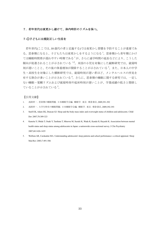# 7.若年世代は夜更かし避けて、体内時計のリズムを保つ。

### 7**-**①子どもには規則正しい生活を

若年世代(ここでは、10 歳代の者と定義する)では夜更かし習慣を予防することが重要であ る。思春期になると、子どもたちは夜更かしをするようになる <sup>1</sup>。思春期から青年期にかけ ては睡眠時間帯が遅れやすい時期である<sup>1</sup>が、さらに通学時間の延長などにより、こうした 傾向が促進されることが示されている 1,2。米国の小児を対象にした縦断研究では、就寝時 刻が遅いことと、その後の体重増加が関係することが示されている <sup>3</sup>。また、日本人の中学 生・高校生を対象にした横断研究では、就寝時刻が遅い者ほど、メンタルヘルスの所見を 有する割合が多いことが示されている <sup>4</sup>。さらに、思春期の睡眠に関する研究では、一定し ない睡眠-覚醒リズムおよび就寝時刻や起床時刻が遅いことが、学業成績の低さと関係し ていることが示されている <sup>5</sup>。

- 1. 浅岡章一. 思春期の睡眠問題. 日本睡眠学会編. 睡眠学. 東京: 朝倉書店, 2009;391-392
- 2. 浅岡章一. 大学生特有の睡眠問題. 日本睡眠学会編. 睡眠学. 東京: 朝倉書店, 2009;392-393
- 3. Snell EK, Adam EK, Duncan GJ. Sleep and the body mass index and overweight status of children and adolescents. Child Dev 2007;78:309-323
- 4. Kaneita Y, Ohida T, Osaki Y, Tanihata T, Minowa M, Suzuki K, Wada K, Kanda H, Hayashi K. Association between mental health status and sleep status among adolescents in Japan: a nationwide cross-sectional survey. J Clin Psychiatry 2007;68:1426-1435
- 5. Wolfson AR, Carskadon MA. Understanding adolescents' sleep patterns and school performance: a critical appraisal. Sleep Med Rev 2003;7:491-506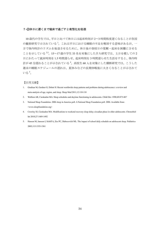# 7**-**②休日に遅くまで寝床で過ごすと夜型化を促進

10 歳代の学生では、平日と比べて休日には起床時刻が 2〜3 時間程度遅くなることが各国 の観察研究で示されている <sup>1</sup>。これは平日における睡眠の不足を解消する意味があるが、一 方で体内時計のリズムを後退させるために、休日後の登校日の覚醒・起床を困難にさせる ことを示している 2,3。15~17 歳の学生 33 名を対象にした介入研究では、土日を模しての 2 日にわたって就床時刻を 1.5 時間遅らせ、起床時刻を 3 時間遅らせた生活をすると、体内時 計が45分遅れることが示されている<sup>4</sup>。高校生60人を対象にした横断研究では、こうした 週末の睡眠スケジュールの遅れは、夏休みなどの長期休暇後に大きくなることが示されて いる <sup>5</sup>。

- 1. Gradisar M, Gardner G, Dohnt H. Recent worldwide sleep patterns and problems during adolescence: a review and meta-analysis of age, region, and sleep. Sleep Med 2011;12:110-118
- 2. Wolfson AR, Carskadon MA. Sleep schedules and daytime functioning in adolescents. Child Dev 1998;69:875-887
- 3. National Sleep Foundation. 2006 sleep in America poll. A National Sleep Foundation poll. 2006. Available from: <www.sleepfoundation.org>
- 4. Crowley SJ, Carskadon MA. Modifications to weekend recovery sleep delay circadian phase in older adolescents. Chronobiol Int 2010;27:1469-1492
- 5. Hansen M, Janssen I, Schiff A, Zee PC, Dubocovich ML. The impact of school daily schedule on adolescent sleep. Pediatrics 2005;115:1555-1561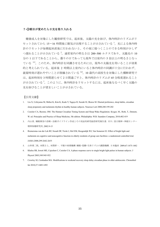# 7**-**③朝目が覚めたら日光を取り入れる

健康成人を対象にした観察研究では、起床後、太陽の光を浴び、体内時計のリズムがリ セットされてから 15~16 時間後に眠気が出現することが示されている<sup>1</sup>。光による体内時 計のリセットが毎朝起床直後に行われないと、その夜に寝つくことのできる時刻が少しず つ遅れることが示されている <sup>2</sup>。通常室内の明るさは 200~500 ルクスであり、太陽光の 10 分の 1 以下であることから、曇りの日であっても屋外では室内の 5 倍以上の明るさとなっ ている 3-5。このため、体内時計を同調させるためには、屋外の太陽光を用いることが効果 的と考えられている。起床後 2 時間以上室内にいると体内時計の同調が十分に行われず、 就寝時刻が遅れやすいことが指摘されている 2,6。10 歳代の高校生を対象にした横断研究で は、起床時刻を 3 時間遅らせて 2 日間過ごすと、体内時計のリズムが 45 分程度遅れること が示されている <sup>7</sup>。このように、体内時計をリセットするには、起床後なるべく早く太陽の 光を浴びることが望ましいことが示されている。

- 1. Liu X, Uchiyama M, Shibui K, Kim K, Kudo Y, Tagaya H, Suzuki H, Okawa M. Diurnal preference, sleep habits, circadian sleep propensity and melatonin rhythm in healthy human subjects. Neurosci Lett 2000;280:199-202
- 2. Czeisler CA, Buxton, OM. The Human Circadian Timing System and Sleep-Wake Regulation. Kryger, M., Roth, T., Dement, W. ed. Principles and Practice of Sleep Medicine, 5th edition. Philadelphia: W.B. Saunders Company, 2010;402-419
- 3. 内山真. 睡眠障害の診断・治療ガイドライン作成とその実証的研究総括研究報告書. 市川: 国立精神・神経センター 精神保健研究所, 2002:9-15
- 4. Riemersma-van der Lek RF, Swaab DF, Twisk J, Hol EM, Hoogendijk WJ, Van Someren EJ. Effect of bright light and melatonin on cognitive and noncognitive function in elderly residents of group care facilities: a randomized controlled trial. JAMA 2008;299:2642-2655
- 5. 山仲勇二郎, 本間さと, 本間研一. 不眠の病理機構 睡眠・覚醒・生体リズムの調節機構. 日本臨床 2009;67:1475-1482
- 6. Khalsa SB, Jewett ME, Cajochen C, Czeisler CA. A phase response curve to single bright light pulses in human subjects. J Physiol 2003;549:945-952
- 7. Crowley SJ, Carskadon MA. Modifications to weekend recovery sleep delay circadian phase in older adolescents. Chronobiol Int 2010;27:1469-1492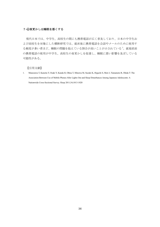# 7**-**④夜更かしは睡眠を悪くする

現代日本では、中学生、高校生の間にも携帯電話が広く普及しており、日本の中学生お よび高校生を対象にした横断研究では、就床後に携帯電話を会話やメールのために使用す る頻度が多い者ほど、睡眠の問題を抱えている割合が高いことが示されている <sup>1</sup>。就寝直前 の携帯電話の使用が中学生、高校生の夜更かしを促進し、睡眠に悪い影響を及ぼしている 可能性がある。

【引用文献】

1. Munezawa T, Kaneita Y, Osaki Y, Kanda H, Ohtsu T, Minowa M, Suzuki K, Higuchi S, Mori J, Yamamoto R, Ohida T: The Association Between Use of Mobile Phones After Lights Out and Sleep Disturbances Among Japanese Adolescents: A Nationwide Cross-Sectional Survey. Sleep 2011;34;1013-1020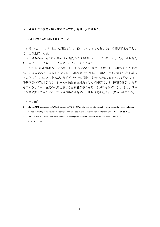#### 8.勤労世代の疲労回復・能率アップに、毎日十分な睡眠を。

#### 8**-**①日中の眠気が睡眠不足のサイン

勤労世代(ここでは、社会的属性として、働いている者と定義する)では睡眠不足を予防す ることが重要である。

成人男性の平均的な睡眠時間は 6 時間から 8 時間といわれている <sup>1</sup> が、必要な睡眠時間 は、年齢とともに変化し、個人によっても大きく異なる。

自分の睡眠時間が足りているか否かを知るための手段としては、日中の眠気の強さを確 認する方法がある。睡眠不足では日中の眠気が強くなる。昼過ぎにある程度の眠気を感じ ることは自然なことであるが、昼過ぎ以外の時間帯でも強い眠気におそわれる場合には、 睡眠不足の可能性がある。日本人の勤労者を対象とした横断研究では、睡眠時間が 6 時間 を下回ると日中に過度の眠気を感じる労働者が多くなることが示されている2。もし、日中 の活動に支障をきたすほどの眠気がある場合には、睡眠時間を延ばす工夫が必要である。

- 1. Ohayon MM, Carskadon MA, Guilleminault C, Vitiello MV. Meta-analysis of quantitative sleep parameters from childhood to old age in healthy individuals: developing normative sleep values across the human lifespan. Sleep 2004;27:1255-1273
- 2. Doi Y, Minowa M. Gender differences in excessive daytime sleepiness among Japanese workers. Soc Sci Med 2003;56:883-894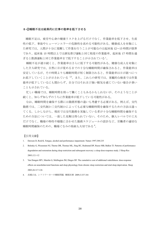### 8**-**②睡眠不足は結果的に仕事の能率を低下させる

睡眠不足は,疲労や心身の健康リスクを上げるだけでなく、作業能率を低下させ、生産 性の低下、事故やヒューマンエラーの危険性を高める可能性がある。健康成人を対象にし た研究では、人間が十分に覚醒して作業を行うことが可能なのは起床後 12~13 時間が限界 であり、起床後 15 時間以上では酒気帯び運転と同じ程度の作業能率、起床後 17 時間を過 ぎると飲酒運転と同じ作業能率まで低下することが示されている<sup>1</sup>。

睡眠不足が連日続くと、作業能率はさらに低下する可能性がある。健康な成人を対象に した介入研究では、自然に目が覚めるまでの十分な睡眠時間が確保されると、作業能率は 安定しているが、その時間よりも睡眠時間が短く制限されると、作業能率は日が経つにつ れ低下していくことが示されている 2,3。また、これらの研究では、客観的な検査では作業 能率が低下しているにも関わらず、自分ではそれほど強い眠気を感じていない場合が多い ことも示されている。

忙しい職場では、睡眠時間を削って働くこともあるかもしれないが、そのようなことが 続くと、知らず知らずのうちに作業能率が低下している可能性がある。

なお、睡眠時間を確保する際には勤務形態の違いも考慮する必要がある。例えば、交代 勤務では、二交代制か三交代制かによっても必要な睡眠時間を確保するための方法は違っ てくる。しかしながら、現状では交代勤務を実施している者が十分な睡眠時間を確保する ための方法については、一致した見解は得られていない。そのため、個人レベルでの工夫 だけでなく、職場の特性や様態に合わせた勤務スケジュールの設計など、労働者の適切な 睡眠時間確保のための、職場ぐるみの取組も大切である <sup>4</sup>。

- 1. Dawson D, Reid K. Fatigue, alcohol and performance impairment. Nature 1997;388:235
- 2. Belenky G, Wesensten NJ, Thorne DR, Thomas ML, Sing HC, Redmond DP, Russo MB, Balkin TJ. Patterns of performance degradation and restoration during sleep restriction and subsequent recovery: a sleep dose-response study. J Sleep Res 2003;12:1-12
- 3. Van Dongen HP1, Maislin G, Mullington JM, Dinges DF. The cumulative cost of additional wakefulness: dose-response effects on neurobehavioral functions and sleep physiology from chronic sleep restriction and total sleep deprivation. Sleep 2003;26:117-126
- 4. 高橋正也. シフトワーカーの睡眠問題. 睡眠医療 2009;3:337-341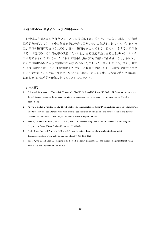#### 8**-**③睡眠不足が蓄積すると回復に時間がかかる

健康成人を対象にした研究では、6~7 日間睡眠不足が続くと、その後 3 日間、十分な睡 眠時間を確保しても、日中の作業能率は十分に回復しないことが示されている
1,2. 日本で は、平日の睡眠不足を補うために、週末に睡眠をまとめてとる「寝だめ」をする人が存在 する。「寝だめ」は作業効率の改善のためには、ある程度有効であることがいくつかの介 入研究で示されてはいるが 3,4 , これらの結果は、睡眠不足が続いて蓄積されると、「寝だめ」 だけでは睡眠不足に伴う作業能率の回復には不十分であることを示している。また、週末 の過度の寝すぎは、逆に夜間の睡眠を妨げて、月曜日や火曜日の日中の眠気や疲労につな がる可能性があることにも注意が必要である<sup>5</sup>。睡眠不足による疲労の蓄積を防ぐためには、 毎日必要な睡眠時間の確保に努めることが大切である。

- 1. Belenky G, Wesensten NJ, Thorne DR, Thomas ML, Sing HC, Redmond DP, Russo MB, Balkin TJ. Patterns of performance degradation and restoration during sleep restriction and subsequent recovery: a sleep dose-response study. J Sleep Res 2003;12:1-12
- 2. Pejovic S, Basta M, Vgontzas AN, Kritikou I, Shaffer ML, Tsaoussoglou M, Stiffler D, Stefanakis Z, Bixler EO, Chrousos GP. Effects of recovery sleep after one work week of mild sleep restriction on interleukin-6 and cortisol secretion and daytime sleepiness and performance. Am J Physiol Endocrinol Metab 2013;305:890-896
- 3. Kubo T, Takahashi M, Sato T, Sasaki T, Oka T, Iwasaki K. Weekend sleep intervention for workers with habitually short sleep periods. Scand J Work Environ Health 2011;37:418-426
- 4. Banks S, Van Dongen HP, Maislin G, Dinges DF. Neurobehavioral dynamics following chronic sleep restriction: dose-response effects of one night for recovery. Sleep 2010;33:1013-1026
- 5. Taylor A, Wright HR, Lack LC. Sleeping-in on the weekend delays circadian phase and increases sleepiness the following week. Sleep Biol Rhythms 2008;6:172–179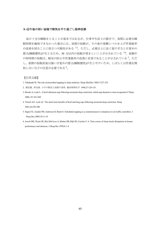#### 8**-**④午後の短い昼寝で眠気をやり過ごし能率改善

毎日十分な睡眠をとることが基本ではあるが、仕事や生活上の都合で、夜間に必要な睡 眠時間を確保できなかった場合には、昼間の仮眠が、その後の覚醒レベルを上げ作業能率 の改善を図ることに役立つ可能性がある 1,2。ただし、必要以上に長く寝すぎると目覚めの 悪さ(睡眠慣性)が生じるため、30 分以内の仮眠が望ましいことが示されている 3,4 夜勤中 の短時間の仮眠は、眠気の防止や作業能率の改善に有効であることが示されている5。ただ し、夜間の仮眠直後は強い目覚めの悪さ(睡眠慣性)が生じやすいため、しばらくは作業を開 始しないなどの注意が必要である <sup>6</sup>。

- 1. Takahashi M. The role of prescribed napping in sleep medicine. Sleep Med Rev 2003;7:227-235
- 2. 堀忠雄, 林光緒. 日中の眠気と仮眠の効果. 臨床精神医学 1998;27:129-135
- 3. Brooks A, Lack L. A brief afternoon nap following nocturnal sleep restriction: which nap duration is most recuperative? Sleep 2006; 29: 831-840
- 4. Tietzel AJ1, Lack LC. The short-term benefits of brief and long naps following nocturnal sleep restriction. Sleep 2001;24:293-300
- 5. Signal TL, Gander PH, Anderson H, Brash S. Scheduled napping as a countermeasure to sleepiness in air traffic controllers. J Sleep Res 2009;18:11-19
- 6. Jewett ME, Wyatt JK, Ritz-DeCecco A, Khalsa SB, Dijk DJ, Czeisler C A. Time course of sleep inertia dissipation in human performance and alertness. J Sleep Res 1999;8:1–8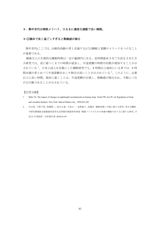#### 9. 熟年世代は朝晩メリハリ、ひるまに適度な運動で良い睡眠。

#### 9**-**①寝床で長く過ごしすぎると熟睡感が減る

熟年世代(ここでは、比較的高齢の者と定義する)では睡眠と覚醒のメリハリをつけること が重要である。

健康な人の生理的な睡眠時間は一定の範囲内にある。長時間就床させて生活をさせた介 入研究では、逆に寝つくまでの時間が延長し、中途覚醒の時間や回数が増加することが示 されている <sup>1</sup>。日本人成人を対象にした横断研究でも、9 時間以上寝床にいる者では、9 時 間未満の者と比べて中途覚醒をおこす割合が高いことが示されている <sup>2</sup>。このように、必要 以上に長い時間、寝床に就くことは、中途覚醒が出現し、熟睡感が損なわれ、不眠につな がる行動であることが示されている。

- 1. Wehr TA. The impact of changes in nightlength (scototperiod) on human sleep. Turek FW, Zee PC ed. Regulation of sleep and circadian rhythms. New York: Marcel Dekker, Inc., 1999;263-285
- 2. 内山真, 今野千聖, 降籏隆二, 鈴木正泰, 大嵜公一, 金野倫子, 高橋栄. 睡眠習慣と不眠に関する研究: 厚生労働科 学研究費補助金循環器疾患等生活習慣対策総研究事業「健康づくりのための休養や睡眠の在り方に関する研究」平 成 21 年度総括・分担報告書. 2010;53-59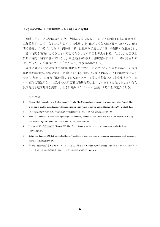#### 9**-**②年齢にあった睡眠時間を大きく超えない習慣を

脳波を用いて客観的に調べると、夜間に実際に眠ることのできる時間(正味の睡眠時間) は加齢とともに短くなるのに対して <sup>1</sup>、実生活では年齢が高くなるほど寝床に就いている時 間は延長している <sup>2</sup>。これは、高齢者の多くは仕事や学業などの日中の制約から解放され、 十分な時間を睡眠に充てることが可能であることが原因と考えられる。ただし、必要以上 に長い時間、寝床に就いていると、中途覚醒が出現し、熟眠感が損なわれ、不眠を呈しや すくなることが指摘されている <sup>3</sup> ことから、注意が必要である。

寝床に就いている時間は生理的な睡眠時間を大きく超えないことが重要である。正味の 睡眠時間は加齢の影響を受け、45 歳では約 6.5 時間、65 歳以上になると 6 時間程度と短く なる<sup>1</sup>。加えて、必要な睡眠時間には個人差があり、昼間の活動量などでも変化する<sup>4,5</sup>。日 中に過剰な眠気がなければ、その人が必要な睡眠時間は足りていると考えられることから6、 就床時刻と起床時刻を調節し、上手に睡眠スケジュールを設計することが重要である。

- 1. Ohayon MM, Carskadon MA, Guilleminault C, Vitiello MV. Meta-analysis of quantitative sleep parameters from childhood to old age in healthy individuals: developing normative sleep values across the human lifespan. Sleep 2004;27:1255-1273
- 2. NHK 放送文化研究所. 2010 年国民生活時間調査報告書. 東京: 日本放送協会, 2011;47-48
- 3. Wehr TA. The impact of changes in nightlength (scototperiod) on human sleep. Turek FW, Zee PC ed. Regulation of sleep and circadian rhythms. New York: Marcel Dekker, Inc., 1999;263-285
- 4. Youngstedt SD, O'Connor PJ, Dishman RK. The effects of acute exercise on sleep: A quantitative synthesis. Sleep 1997;20:203-214
- 5. Kubitz KA, Landers DM, Petruzzello SJ, Han M. The effects of acute and chronic exercise on sleep. A meta-analytic review. Sports Med 1996;21:277-291
- 6. 内山真. 睡眠障害治療・診断ガイドライン: 厚生労働省精神・神経疾患研究委託費 睡眠障害の診断・治療ガイド ライン作成とその実証的研究 平成 11-13 年度総括研究報告書. 2002;9-15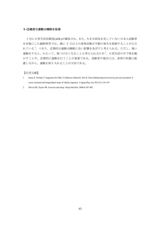# 9**-**③適度な運動は睡眠を促進

十分に日常生活活動度(ADL)が確保され、また、大きな病気を有していない日本人高齢者 を対象にした縦断研究では、週に 5 日以上の身体活動が不眠の発生を抑制することが示さ れている <sup>1</sup>。つまり、定期的な運動は睡眠に良い影響を及ぼすと考えられる。ただし、強い 運動をすると、かえって、寝つけなくなることも考えられるため2、日常生活の中で体を動 かすことや、定期的に運動を行うことが重要である。高齢者の場合には、身体の状態に配 慮しながら、運動を取り入れることが大切である。

- 1. Inoue S, Yorifuji T, Sugiyama M, Ohta T, Ishikawa-Takata K, Doi H. Does habitual physical activity prevent insomnia? A cross-sectional and longitudinal study of elderly Japanese. J Aging Phys Act 2013;21:119-139
- 2. Driver HS, Taylor SR. Exercise and sleep. Sleep Med Rev 2000;4:387-402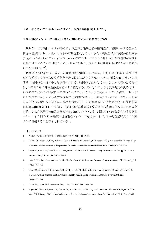# 10.眠くなってからふとんにはいり、起きる時間は遅らせない。

# 10**-**①眠たくなってから寝床に就く、就床時刻にこだわりすぎない

眠りたくても眠れない人の多くは、不適切な睡眠習慣や睡眠環境、睡眠に対する誤った 信念や理解により、かえって自らの不眠を悪化させている <sup>5</sup>。不眠症に対する認知行動療法 (Cognitive-Behavioral Therapy for Insomnia: CBT-I)は、こうした睡眠に対する不適切な知識や 行動を修正することを目的とした心理療法であり、様々な患者比較対照研究で高い有効性 が示されている 6.7。

眠れない人の多くは、望ましい睡眠時間を確保するために、目覚めなければいけない時 刻から逆算して寝床に就く時刻を早めに設定しがちである。しかし、通常就寝する 2~3 時 間前の時間帯は一日の中で最も寝つきにくい時間帯であり <sup>4</sup>、かつ日によって寝つける時刻 は、季節や日中の身体活動量などにより変化するため 5,6、このような就床時刻の決め方は、 寝床の中で眠れない状況につながることになり、そのような状況がつづいた結果、「眠れな いのではないか」という不安を助長する危険性がある。起床時刻のみ定め、眠気が出始め るまで寝床に就かないように、思考や行動パターンを改めることに焦点を絞った簡易認知 行動療法(Brief CBT-I: BBTI)が、主観的な睡眠健康満足度の向上に有効であることが患者を 対象にした介入研究で確認されている。BBTI については、2 回の 45~60 分からなる治療セ ッションと 2 回の 30 分程度の追跡電話セッションを行うことで、6 か月経過時点での治療 効果が持続することが示されている <sup>7</sup>。

- 1. 内山真. 私はこう治療する 不眠症. 診断と治療 2012;100:293-297
- 2. Morin CM, Vallières A, Guay B, Ivers H, Savard J, Mérette C, Bastien C, Baillargeon L. Cognitive behavioral therapy, singly and combined with medication, for persistent insomnia: a randomized controlled trial. JAMA 2009;301:2005-2015
- 3. Okajima I, Komada Y, Inoue Y. A meta-analysis on the treatment effectiveness of cognitive behavioral therapy for primary insomnia. Sleep Biol Rhythm 2011;9:24–34
- 4. Lavie P. Ultrashort sleep-waking schedule. III. 'Gates' and 'forbidden zones' for sleep. Electroencephalogr Clin Neurophysiol 1986;63:414-425
- 5. Okawa M, Shirakawa S, Uchiyama M, Oguri M, Kohsaka M, Mishima K, Sakamoto K, Inoue H, Kamei K, Takahashi K. Seasonal variation of mood and behaviour in a healthy middle-aged population in Japan. Acta Psychiatr Scand 1996;94:211-216
- 6. Driver HS, Taylor SR. Exercise and sleep. Sleep Med Rev 2000;4:387-402
- 7. Buysse DJ, Germain A, Moul DE, Franzen PL, Brar LK, Fletcher ME, Begley A, Houck PR, Mazumdar S, Reynolds CF 3rd, Monk TH. Efficacy of brief behavioral treatment for chronic insomnia in older adults. Arch Intern Med 2011;171:887–895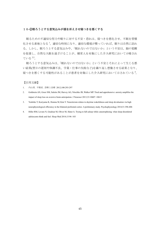### 10**-**②眠ろうとする意気込みが頭を冴えさせ寝つきを悪くする

眠るための不適切な努力や眠りに対する不安・恐れは、寝つきを悪化させ、不眠を習慣 化させる素地となる <sup>1</sup>。適切な時刻になり、適切な環境が整っていれば、眠りは自然に訪れ る。しかし、眠ろうとする意気込みや、「眠れないのではないか」という不安は、脳の覚醒 を促進し、自然な入眠を遠ざけることが、健常人を対象にした介入研究において示唆され ている 2,3。

眠ろうとする意気込みは、「眠れないのではないか」という不安とそれによって生じる悪 い結果(翌日の遅刻や体調不良、学業・仕事の失敗など)を繰り返し想像させる結果となり、 寝つきを悪くする可能性があることが患者を対象にした介入研究において示されている <sup>4</sup>。

- 1. 内山真. 不眠症. 診断と治療 2012;100:293-297
- 2. Goldstein AN, Greer SM, Saletin JM, Harvey AG, Nitschke JB, Walker MP. Tired and apprehensive: anxiety amplifies the impact of sleep loss on aversive brain anticipation. J Neurosci 2013;33:10607–10615
- 3. Yoshiike T, Kuriyama K, Honma M, Kim Y. Neuroticism relates to daytime wakefulness and sleep devaluation via high neurophysiological efficiency in the bilateral prefrontal cortex: A preliminary study. Psychophysiology 2014;51:396-406
- 4. Hiller RM, Lovato N, Gradisar M, Oliver M, Slater A. Trying to fall asleep while catastrophising: what sleep-disordered adolescents think and feel. Sleep Med 2014;15:96–103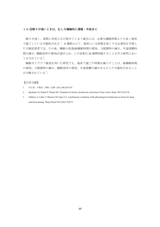### 10**-**③眠りが浅いときは、むしろ積極的に遅寝・早起きに

眠りが浅く、夜間に何度も目が覚めてしまう場合には、必要な睡眠時間よりも長く寝床 で過ごしている可能性がある <sup>1</sup>。8 週間かけて、寝床にいる時間を短くする必要性を学習し た不眠症患者では、その後、睡眠の改善(総睡眠時間の増加、入眠潜時の減少、中途覚醒時 間の減少、睡眠効率の増加)が認められ、この効果は 36 週間持続することが介入研究におい て示されている?。

睡眠ポリグラフ検査を用いた研究でも、寝床で過ごす時間を減らすことは、総睡眠時間 の増加、入眠潜時の減少、睡眠効率の増加、中途覚醒の減少をもたらす可能性があること が示唆されている 3。

- 1. 内山真. 不眠症. 診断と治療 2012;100:293-297
- 2. Spielman AJ, Saskin P, Thorpy MJ. Treatment of chronic insomnia by restriction of time in bed. Sleep 1987;10:45-56
- 3. Vallières A, Ceklic T, Bastien CH, Espie CA. A preliminary evaluation of the physiological mechanisms of action for sleep restriction therapy. Sleep Disord 2013;2013:726372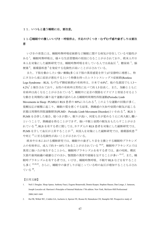# 11. いつもと違う睡眠には、要注意。

# 11**-**①睡眠中の激しいいびき・呼吸停止、手足のぴくつき・むずむず感や歯ぎしりは要注 意

いびきの背景には、睡眠時無呼吸症候群など睡眠に関する病気が存在している可能性が ある <sup>1</sup>。睡眠時無呼吸は、様々な生活習慣病の原因になることが示されており、欧米人や日 本人を対象にした縦断研究では、睡眠時無呼吸を有している人では高血圧<sup>2</sup>、糖尿病<sup>3</sup>、脳 梗塞 <sup>4</sup>、循環器疾患 <sup>5</sup>を発症する危険性が高いことが示されている。

また、下肢を動かしたい強い衝動(多くは下肢の異常感覚を伴う)が安静時に増悪し、特 に夕方から夜に症状が悪化するという特徴を持ったレストレスレッグス症候群(Restless Legs Syndrome:RLS, むずむず脚症候群)の有病率は、日本で 4.0% <sup>6</sup>、他の先進国でも 1.3~ 4.2% <sup>7</sup> と報告されており、女性の有病率は男性に比べて約 1.5 倍高く,また、加齢とともに 有病率は高くなることが示されている <sup>6</sup>。睡眠中に足首の関節をピクピクと背屈させるよう な動きを周期的に繰り返す運動が認められる睡眠時周期性四肢運動(Periodic Limb Movements in Sleep:PLMS)は RLS 患者の 80%にみられる <sup>8</sup>。このような運動の回数が多く、 覚醒反応が頻繁に起こり、睡眠の質を悪くする結果、熟睡感の欠如や昼間の眠気が起こる 状態は周期性四肢運動障害(PLMD: Periodic Limb Movement Disorder)といわれる<sup>9</sup>。RLS と PLMS を合併した場合、寝つきが悪い、眠りが浅い、何度も目が覚めるうえに再入眠し難い ということで、熟睡感を得ることができず、強い不眠と昼間の眠気をもたらすことが示さ れている <sup>10</sup>。RLS を有する者に関しては、カナダ人の RLS 患者を対象にした縦断研究では、 PLMS を介して血圧が上昇することが 11、米国人を対象にした縦断研究では、循環器疾患 12 や死亡 <sup>13</sup> に至る危険性が高いことが示されている。

欧米や日本における横断研究では、睡眠中の歯ぎしり音を主徴とする睡眠時ブラキシズ ムの有病率は、成人で約 5~10%であることが示されている 14,15。睡眠時ブラキシズムでは 異常に強い力が発生することから、睡眠時ブラキシズムを有する者では、歯の咬耗、楔状 欠損や歯周組織の破壊などのほか、顎関節の異常や頭痛を呈することが多い 15-17。また、睡 眠時ブラキシズムを有する者では、いびき、睡眠時無呼吸、不眠や RLS などを有すること も多く 15,18,19、さらに、睡眠中の歯ぎしりが起こっている時の血圧が増加することも示され ている <sup>20</sup>。

- 1. Neil J. Douglas. Sleep Apnea. Anthony Fauci, Eugene Braunwald, Dennis Kasper, Stephen Hauser, Dan Longo, J. Jameson, Joseph Loscalzo ed. Harrison's Principles of Internal Medicine 17th edition. New York, McGraw-Hill Professional 2008;1665-1668
- 2. Hu FB, Willett WC, Colditz GA, Ascherio A, Speizer FE, Rosner B, Hennekens CH, Stampfer MJ. Prospective study of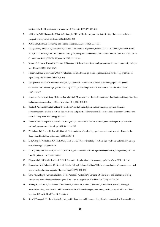snoring and risk of hypertension in women. Am J Epidemiol 1999;150:806-816

- 3. Al-Delaimy WK, Manson JE, Willett WC, Stampfer MJ, Hu FB. Snoring as a risk factor for type II diabetes mellitus: a prospective study. Am J Epidemiol 2002;155:387-393
- 4. Partinen M, Palomäki H. Snoring and cerebral infarction. Lancet 1985;2:1325-1326
- 5. Nagayoshi M, Tanigawa T, Yamagishi K, Sakurai S, Kitamura A, Kiyama M, Okada T, Maeda K, Ohira T, Imano H, Sato S, Iso H; CIRCS Investigators.. Self-reported snoring frequency and incidence of cardiovascular disease: the Circulatory Risk in Communities Study (CIRCS). J Epidemiol 2012;22:295-301
- 6. Nomura T, Inoue Y, Kusumi M, Uemura Y, Nakashima K. Prevalence of restless legs syndrome in a rural community in Japan. Mov Disord 2008;23:2363-2369
- 7. Nomura T, Inoue Y, Kusumi M, Oka Y, Nakashima K. Email-based epidemiological surveys on restless legs syndrome in Japan. Sleep Biol Rhythm 2008;6:139-145
- 8. Montplaisir J, Boucher S, Poirier G, Lavigne G, Lapierre O, Lespérance P. Clinical, polysomnographic, and genetic characteristics of restless legs syndrome; a study of 133 patients diagnosed with new standard criteria. Mov Disord 1997;12:61-65
- 9. American Academy of Sleep Medicine. Periodic Limb Movement Disorder. In. International Classification of Sleep Disorders, 2nd ed. American Academy of Sleep Medicine, USA, 2005;182-186
- 10. Saletu B, Anderer P, Saletu M, Hauer C, Lindeck-Pozza L, Saletu-Zyhlarz G. EEG mapping, psychometric, and polysomnographic studies in restless legs syndrome and periodic limb movement disorder patients as compared with normal controls. Sleep Med 2002;3(Suppl):S35-42
- 11. Pennestri MH, Montplaisir J, Colombo R, Lavigne G, Lanfranchi PA. Nocturnal blood pressure changes in patients with restless legs syndrome. Neurology 2007;68:1213–1218
- 12. Winkelman JW, Shahar E, Sharief I, Gottlieb DJ. Association of restless legs syndrome and cardiovascular disease in the Sleep Heart Health Study. Neurology 2008;70:35-42
- 13. Li Y, Wang W, Winkelman JW, Malhotra A, Ma J, Gao X. Prospective study of restless legs syndrome and mortality among men. Neurology 2013;81:52-59
- 14. Kato T, Velly AM, Nakane T, Masuda Y, Maki S. Age is associated with self-reported sleep bruxism, independently of tooth loss. Sleep Breath 2012;16:1159-1165
- 15. Ohayon MM, Li KK, Guilleminault C. Risk factors for sleep bruxism in the general population. Chest 2001;119:53-61
- 16. Ommerborn MA, Schneider C, Giraki M, Schafer R, Singh P, Franz M, Raab WH.. In vivo evaluation of noncarious cervical lesions in sleep bruxism subjects. J Prosthet Dent 2007;98:150-158
- 17. Carra MC1, Huynh N, Morton P, Rompré PH, Papadakis A, Remise C, Lavigne GJ. Prevalence and risk factors of sleep bruxism and wake-time tooth clenching in a 7- to 17-yr-old population. Eur J Oral Sci 2011;119:386-394
- 18. Ahlberg K, Jahkola A, Savolainen A, Könönen M, Partinen M, Hublin C, Sinisalo J, Lindholm H, Sarna S, Ahlberg J. Associations of reported bruxism with insomnia and insufficient sleep symptoms among media personnel with or without irregular shift work. Head Face Med 2008;4:4
- 19. Kato T, Yamaguchi T, Okura K, Abe S, Lavigne GJ. Sleep less and bite more: sleep disorders associated with occlusal loads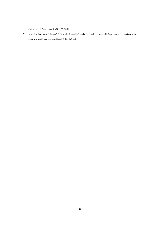during sleep. J Prosthodont Res 2013;57:69-81

20. Nashed A, Lanfranchi P, Rompré P, Carra MC, Mayer P, Colombo R, Huynh N, Lavigne G. Sleep bruxism is associated with a rise in arterial blood pressure. Sleep 2012;35:529-536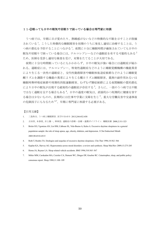### 11**-**②眠っても日中の眠気や居眠りで困っている場合は専門家に相談

うつ病では、早朝に目が覚めたり、熟睡感がないなどの特徴的な不眠を示すことが指摘 されている <sup>1</sup>。こうした特徴的な睡眠障害を初期のうちに発見し適切に治療することは、う つ病の悪化を予防することにつながる <sup>1</sup>。夜間に十分に睡眠時間が確保されていても日中の 眠気や居眠りで困っている場合には、ナルコレプシーなどの過眠症を有する可能性もある<sup>2</sup> ため、医師を受診し適切な検査を受け、対策をたてることが大切である。

夜間に十分な時間眠っているにもかかわらず、日中の眠気が強い場合には過眠症が疑わ れる。過眠症には、ナルコレプシー、特発性過眠症などのように睡眠覚醒機構の機能異常 により生じる一次性の過眠症と、交代性勤務障害や睡眠相後退症候群などのように睡眠覚 醒リズムを調節する機能の異常により生じる概日リズム睡眠障害、薬剤の副作用あるいは 睡眠時無呼吸症候群や周期性四肢運動障害、むずむず脚症候群による夜間睡眠の質的悪化 により日中の眠気が出現する続発性の過眠症が存在する <sup>3</sup>。さらに、一部のうつ病では不眠 ではなく過眠を呈する場合もある <sup>4</sup>。日中の過度の眠気は、直接的かつ短期的に健康を害す る場合は少ないものの、長期的には仕事や学業に支障を生じ <sup>5</sup>、重大な労働災害や交通事故 の危険因子にもなるため 6,7、早期に専門家に相談する必要がある。

- 1. 三島和夫. うつ病と睡眠障害. 医学のあゆみ 2013;244:452-458
- 2. 吉田祥, 本多真, 井上雄一, 神林崇. 過眠症の診断・治療・連携ガイドライン. 睡眠医療 2008;2:311-323
- 3. Bixler EO, Vgontzas AN, Lin HM, Calhoun SL, Vela-Bueno A, Kales A. Excessive daytime sleepiness in a general population sample: the role of sleep apnea, age, obesity, diabetes, and depression. J Clin Endocrinol Metab 2005;90:4510-4515
- 4. Roth T, Roehrs TA. Etiologies and sequelae of excessive daytime sleepiness. Clin Ther 1996;18:562–566
- 5. Kaplan KA, Harvey AG. Hypersomnia across mood disorders: a review and synthesis. Sleep Med Rev 2009;13:275-285
- 6. Horne JA, Rayner LA. Sleep related vehicle accidents. BMJ 1996;310:565–567
- 7. Mitler MM, Carskadon MA, Czeisler CA, Dement WC, Dinges DF, Graeber RC. Catastrophes, sleep, and public policy: consensus report. Sleep 1988;11:100–109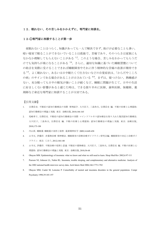### 12. 眠れない、その苦しみをかかえずに、専門家に相談を。

#### 12**-**①専門家に相談することが第一歩

夜眠れないことはつらく、知識があっても一人で解決できず、助けが必要なことも多い。 暗い寝室で眠ることができないでいることは孤独で、苦痛であり、そのつらさは家族にも なかなか理解してもらえないことがある 1,2。このような場合、苦しみをわかってもらうだ けでも気持ちが楽になることがある 3,4。さらに、適切な知識に基づいた睡眠習慣について の助言を実際に受けることできれば睡眠障害やそれに伴う精神的な苦痛の改善が期待でき る 3-5。よく眠れない、あるいは日中眠たくて仕方ないなどの自覚症状は、「からだやこころ の病」のサインである場合があることが示されている 6-8 まずは、寝つけない、熟睡感が ない、充分眠っても日中の眠気が強いことが続くなど、睡眠に問題が生じて、日中の生活 に好ましくない影響があると感じた時は、できる限り早めに医師、歯科医師、保健師、薬 剤師など身近な専門家に相談することが大切である。

- 1. 宗澤岳史. 不眠症の認知行動療法の実際 事例紹介. 大川匡子, 三島和夫, 宗澤岳史 編. 不眠の医療と心理援助: 認知行動療法の理論と実践. 東京: 金剛出版, 2010;146-165
- 2. 尾崎章子, 宗澤岳史. 不眠症の認知行動療法の実際 マインドフルネス認知療法を取り入れた集団認知行動療法. 大川匡子, 三島和夫, 宗澤岳史 編. 不眠の医療と心理援助: 認知行動療法の理論と実践. 東京: 金剛出版, 2010;175-188
- 3. 内山真. 睡眠薬 睡眠薬の効用と限界. 最新精神医学 2009;14:449-458
- 4. 山寺亘, 伊藤洋. 非薬物治療 精神療法. 睡眠障害の診断治療ガイドライン研究会編. 睡眠障害の対応と治療ガイ ドライン. 東京: じほう, 2012;144-148
- 5. 山寺亘, 伊藤洋. 不眠治療の役割と意義 不眠症の薬物療法. 大川匡子, 三島和夫, 宗澤岳史 編. 不眠の医療と心 理援助: 認知行動療法の理論と実践. 東京: 金剛出版, 2010;56-68
- 6. Ohayon MM. Epidemiology of insomnia: what we know and what we still need to learn. Sleep Med Rev 2002;6:97-111
- 7. Pearson NJ, Johnson LL, Nahin RL. Insomnia, trouble sleeping, and complementary and alternative medicine: Analysis of the 2002 national health interview survey data. Arch Intern Med 2006;166:1775-1782
- 8. Ohayon MM, Caulet M, Lemoine P. Comorbidity of mental and insomnia disorders in the general population. Compr Psychiatry 1998;39:185-197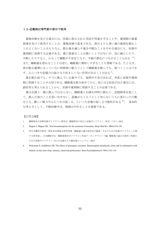# 12**-**②薬剤は専門家の指示で使用

薬物治療を受ける場合には、医師に指示された用法や用量を守ることや、薬剤師の服薬 指導を受けて使用することが、薬物治療の基本である。指示よりも多い量の薬剤を飲むこ とがよくないことはもちろん、飲む量を減らす場合や飲むことをやめる場合にも、医師や 薬剤師に相談する必要がある。薬に慎重なことは悪いことではないが、急に減らしたり、 中断したりすると、かえって睡眠が不安定となり、不眠の悪化につながることもある 1-3。 また、睡眠薬を恐れることとは逆に、睡眠薬に期待しすぎることも禁物である。たとえば、 体が眠る態勢になっていない時間帯に眠ろうとして睡眠薬を飲んでも、寝つくことはでき ず、ふらつきや記憶力の抜けなど好ましくない作用が出ることがある <sup>4</sup>。

薬を飲む前でも、すでに飲んでいる最中でも、疑問や不安があれば、率直に医師や薬剤 師に相談することが大切である。睡眠薬を飲み始めてから、気になる症状が出た場合には、 副作用も考えられることから、医師や薬剤師に相談することが必要である。

薬はお酒と一緒に飲んではならない。睡眠薬とお酒を同時に飲むと、記憶障害を起こし て、飲んだ後のことを思い出せない、意識がもうろうとして知らないうちに変わった行動 をとる、激しい脱力やふらつきが起こる、といった状態が起こる可能性がある<sup>2,3</sup>。 基本的 な考え方として、不眠治療中は、寝酒はやめることが重要である。

- 1. 睡眠障害の診断治療ガイドライン研究会. 睡眠障害の対応と治療ガイドライン. 東京: じほう, 2012
- 2. Wagner J, Wagner ML. Non-benzodiazepines for the treatment of insomnia. Sleep Med Rev 2000;4:551-581
- 3. 厚生労働科学研究・障害者対策総合研究事業「睡眠薬の適正使用及び減量・中止のための診療ガイドラインに関 する研究班」、日本睡眠学会・睡眠薬使用ガイドライン作成ワーキンググループ編. 睡眠薬の適正な使用と休薬の ための診療ガイドライン−出口を見据えた不眠医療マニュアル−. 2013
- 4. Wickstrøm E, Godtlibsen OB. The effects of quazepam, triazolam, flunitrazepam and placebo, alone and in combination with ethanol, on day-time sleep, memory, mood and performance. Hum Psychopharmacol 1988;3:101-110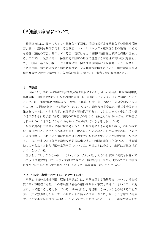# (3)睡眠障害について

睡眠障害には、寝床に入っても眠れない不眠症、睡眠時無呼吸症候群などの睡眠呼吸障 害、日中に過剰な眠気が見られる過眠症、レストレスレッグス症候群などの睡眠中の異常 な感覚・運動の障害、概日リズム障害、寝ぼけなどの睡眠時随伴症と多彩な病態が含まれ る。ここでは、頻度が高く、保健指導や臨床の場面で遭遇する可能性の高い睡眠障害とし て、不眠症、過眠症、概日リズム睡眠障害、閉塞性睡眠時無呼吸症候群、レストレスレッ グス症候群、睡眠時遊行症と睡眠時驚愕症、レム睡眠行動障害について、睡眠障害国際分 類第 2 版等を参考に解説する。各疾病の詳細については、参考文献を参照頂きたい。

#### 1.不眠症

不眠症とは、2005 年の睡眠障害国際分類改訂版によれば、A) 入眠困難、睡眠維持困難、 早朝覚醒、回復感欠如などの夜間の睡眠困難、B) 適切なタイミングと適切な環境下で起こ ること、C) 夜間の睡眠困難により、疲労、不調感、注意・集中力低下、気分変調などの日 中の QOL の問題が起きている場合とされる。つまり、適切な時間帯に床で過ごす時間が確 保されているにもかかわらず、夜間睡眠の質的低下があり、これによって日中に生活の質 の低下がみられる状態である。夜間の不眠症状のみでは一般成人の約 20~40%、不眠症状 と日中の QOL の低下を伴うものは約 10~15%が有していると考えられている。

生活の質の低下を中心に不眠症を考えることは臨床的に大きな意味を持つ。不眠治療で は、眠れないことにこだわる患者の目を、眠れないために起こった生活の質の低下に向け るよう指導し、不眠により損なわれた日中の生活の質を改善することが治療のゴールとな る。一方、仕事や遊びなどで適切な時間帯に床で過ごす時間が確保できないなど、社会活 動によりもたらされた睡眠の量的不足については、不眠症とは分けて、最近は断眠と呼ぶ ようになっている。

症状としては、なかなか寝つけないという「入眠困難」、あるいは夜中に何度も目覚めて しまう「中途覚醒」、眠りが浅くて熟睡できない「熟睡障害」、朝早く目覚めてまだ睡眠が 足りないにもかかわらず眠れないというような「早朝覚醒」などがあげられる。

#### (1) 不眠症(精神生理性不眠、原発性不眠症)

不眠症(精神生理性不眠、原発性不眠症)は、不眠を呈する睡眠障害において、最も頻 度の高い不眠症である。この不眠症は慢性の精神的緊張・不安と条件づけという二つの要 因によって起こると考えられている。具体的には、毎晩眠れるかどうかを心配することが 強い不安や緊張をもたらして、不眠の大きな要因になり、さらに、眠ろうと意識的に努力 することで不安緊張はさらに増し、かえって眠りが妨げられる。その上、寝室で就床した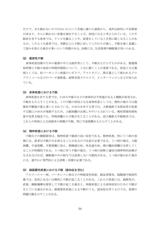だけで、また眠れないのではないかという苦痛に満ちた連想から、条件反射的に不安緊張 が高まり、さらに眠れない状態を強化することが、原因になると考えられている。この不 眠症を有する患者では、テレビを観ることや、読書をしていると自然に眠くなることがあ るが、このような患者では、実際以上に不眠に対してこだわりが強く、不眠を強く意識し て悩みを訴える場合が多いという特徴がある。治療には、生活指導や睡眠薬が用いられる。

#### (2) 薬原性不眠

身体疾患治療のための薬剤の中には副作用として、不眠をもたらすものがある。服薬開 始時期と不眠の発症の時間的関係について、十分に聞くことが重要である。原因となる薬 剤としては、抗パーキンソン病薬のレボドパ、アマンタジン、降圧薬として使われるプロ プラノノールなどのベータ遮断薬、副腎皮質ステロイド、インターフェロンなどが知られ ている。

#### (3) 身体疾患における不眠

身体疾患を有する者では、かゆみや痛みなどの身体的な不快感があると睡眠が妨害され、 不眠をもたらすことがある。この不眠の原因となる身体疾患としては、慢性の痛みでは頚 椎症や腰痛が最も多いとされている。かゆみを有する者では、入眠過程で末梢血管が拡張 する際にかゆみが増悪するため、入眠困難が出現しやすいとされている。慢性閉塞性肺疾 患や気管支喘息でも、呼吸困難から不眠が生じることがある。前立腺肥大や膀胱炎では、 これらの疾病による尿路系の刺激が不眠、特に中途覚醒をもたらすことがある。

#### (4) 精神疾患における不眠

不眠などの睡眠障害は、精神疾患で頻度の高い症状である。精神疾患、特にうつ病の初 期には、患者は不眠のみを訴えることがあるので注意が必要である。うつ病の場合、入眠 困難、中途覚醒、早朝覚醒に加え、熟睡感欠如、休息感欠如、朝の離床困難が合併してく ることが特徴的である。うつ病に伴う不眠の場合、うつ病の診断と適切な精神科的治療が なされなければ、睡眠薬のみの投与では改善しない可能性がある。うつ病が疑われた場合 には、速やかに専門医による診断・治療が必要である。

#### (5) 脳器質性疾患における不眠(認知症を含む)

アルツハイマー病、パーキンソン病などの神経変性疾患、脳血管障害、脳腫瘍や頭部外 傷では、急性にあるいは慢性に不眠が起こることがある。これらの疾患には、脳障害が、 直接、睡眠機構を障害して不眠が起こる場合と、神経疾患による身体症状のために不眠が 生じている場合がある。脳器質性疾患による不眠のうち、認知症を伴うものでは、夜間の 問題行動を示すことがある。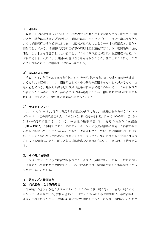#### 2.過眠症

夜間に十分な時間眠っているのに、昼間の眠気が強く仕事や学習などの日常生活に支障 をきたす場合には過眠症が疑われる。過眠症には、ナルコレプシー、特発性過眠症などの ように覚醒機構の機能低下により日中に眠気が出現してしまう一次性の過眠症と、薬剤の 副作用としてあるいは睡眠時無呼吸症候群や周期性四肢運動障害のように夜間睡眠の質的 悪化により十分な休息がとれない結果として日中の眠気症状が出現する過眠症がある。い ずれの場合も、眠気により周囲から怠け者とみなされることや、仕事上のミスにもつなが ることがあるため、早期診断・治療が必要である。

#### (1) 薬剤による過眠

抗ヒスタミン作用のある風邪薬や抗アレルギー薬、抗不安薬、抗うつ薬や抗精神病薬等、 よく使われる薬剤の中には、副作用として日中の眠気や過眠をきたすものがあるため、注 意が必要である。睡眠薬の持ち越し効果(効果が日中まで続く効果)では、日中に眠気が 出現することがある。特に、高齢者では代謝が遅延するため、作用時間の短い睡眠薬でも 持ち越し効果による日中の強い眠気が出現することがある。

#### (2) ナルコレプシー

ナルコレプシーは 10 歳代に発症する過眠症の典型であり、情動脱力発作を伴うナルコレ プシーは、米国や西欧諸国の人口の 0.02~0.18%で認められる。日本ではやや高い (0.16~ 0.18%)有病率が報告されている。体質性の睡眠障害では、特定の白血球の血液型

(HLA-DR15)と関連しており、脳内のオレキシンという覚醒維持に関連した物質の低下 が病態に関係していることがわかってきた。ナルコレプシーでは、急に睡魔におそわれて 眠ってしまう睡眠発作と呼ばれる症状に加えて、笑ったり、驚いたりすると突然に身体の 力が抜ける情動脱力発作、眠りぎわの睡眠麻痺や入眠時幻覚などが一緒に起こる特徴があ る。

#### (3) その他の過眠症

ナルコレプシーのような特徴的症状がなく、夜間に十分睡眠をとっても一日中眠気が続 く過眠症としては特発性過眠症がある。特発性過眠症は、髄膜炎や頭部外傷が契機となっ て発症することがある。

# 3.概日リズム睡眠障害

#### (1) 交代勤務による睡眠障害

体内時計の発振する概日リズムによって、1 日の中で夜は眠りやすく、昼間は眠りにくく コントロールされている。交代勤務では、一般の人たちが眠る夜の時間帯に仕事に従事し、 夜間の仕事を終えてから、翌朝から昼にかけて睡眠をとることになり、体内時計とあわな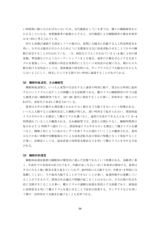い時間帯に眠らなければならないため、交代勤務をしている者では、種々の睡眠障害をか かえることになる。夜間勤務者の総数からすると、交代勤務による睡眠障害の推定有病率 は 2~5%と考えられている。

何日も夜勤が連続する固定シフトの場合は、夜間に太陽光に匹敵する人工的高照度光を 用い、日中は太陽光が目から入らぬように光環境を完全に昼夜逆転させることで日中の睡 眠が安定することが行われている。一方、病院などでよく行われている 1~2 週に 1 回の深 夜勤、準夜勤などのようなローテートシフトをとる場合、通常の日勤を中心とする生活リ ズムを重視しつつ、夜勤後の休息を効果的にとるという対処法が必要になる。朝からの入 眠を助ける対処法としては、深夜勤後の帰宅時には、サングラスなどで太陽光が目から入 らないようにして、帰宅したらできる限り早い時刻に就寝することがあげられる。

#### (2) 睡眠相後退型、自由継続型

睡眠相後退型は、いったん夜型の生活をすると通常の時刻に眠り、望まれる時刻に起床 するというリズムに戻すことが困難になる症候群である。概日リズム睡眠障害の中では最 も頻度が高い睡眠障害であり、10〜20 歳代に発症することが多い。有病率は一般人口の 0.17%、高校生の 0.4%と推定されている。

患者は日中の行動や心理状態とかかわりなく朝方まで入眠できないという特徴がある。 いったん入眠すると比較的安定した睡眠が得られ、遅い時刻まで起きられない。深部体温 リズムやホルモンを測定して概日リズムを調べると、通常の生活ができる人と比べて 3~4 時間遅れていることが観察される。自由継続型では、意思とは関わりなく、睡眠時間帯が 毎日およそ 1 時間ずつ遅れていく。深部体温リズムやホルモンを測定して概日リズムを調 べると、睡眠と同じように毎日少しずつ生体リズムが遅れていくことが観察される。夏休 みなどの長い休暇や受験勉強などによる昼夜逆転生活が発症の契機となって発症すること が多い。治療法としては、起床直後の高照度光療法などを用いて概日リズムを早める方法 がある。

#### (3) 睡眠相前進型

睡眠相前進症候群は睡眠相が慢性的に進んだ状態であるという特徴がある。高齢者に多 く、中高年での有病率は約 1%であり、年齢が高くなるにつれて有病率は増加する。患者は 夕方になると強い眠気を覚え起きていられず、20 時前には入眠するが、早朝 2~3 時頃には 覚醒してしまい、その後再入眠することができないことが多い。就業時間中は覚醒してい ることができるので、深刻な社会適応の問題が起こることは少ないが、夕方以降の社会生 活に支障が生じることが多い。概日リズムの過剰な前進を原因とする病態であり、就寝前 に高照度光を用いて概日リズムを遅らせることで症状が改善する。サングラスなどを用い て朝の一定時刻まで太陽光を避けることも有用である。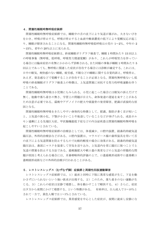#### 4.閉塞性睡眠時無呼吸症候群

閉塞性睡眠時無呼吸症候群では、睡眠中の舌の沈下により気道が塞がれ、大きないびき をかき、呼吸が停止する。呼吸が停止すると血液中酸素濃度の低下により覚醒反応が起こ り、睡眠が障害されることになる。閉塞性睡眠時無呼吸低呼吸は小児の 1~2%、中年の 2 ~15%、老年の 20%以上に見られる。

閉塞性睡眠時無呼吸症候群は、終夜睡眠ポリグラフ検査で、睡眠 1 時間あたり 15 回以上 の呼吸事象(無呼吸、低呼吸、呼吸努力関連覚醒)があり、これらが呼吸努力を伴ってい る場合には臨床症状の有無にかかわらず診断される。また同様の事象が睡眠 1 時間あたり 5 回以上であっても、無呼吸に関連した症状が存在する場合には診断が確定する。これには、 日中の眠気、爽快感のない睡眠、疲労感、不眠などの睡眠に関する自覚的訴え、呼吸停止、 あえぎ、窒息感などで覚醒することが存在することが必須となる。閉塞性無呼吸ないし低 呼吸の終夜睡眠ポリグラフ検査上の特徴は、上気道閉塞に対抗する努力性呼吸運動を伴う ことである。

閉塞性睡眠時無呼吸は小児期にもみられる。小児に起こった場合には眠気の訴えだけで 無く、他動や落ち着きの無さ、学習上の問題が目立ち、身体発達の遅延を来すことがある ため注意が必要である。扁桃やアデノイドの肥大や頭蓋骨の発育障害、肥満が直接的な原 因となる。

閉塞性睡眠時無呼吸をきたしやすい身体的な特徴として、肥満、脂肪が多く首が短いこ と、上気道の狭小化、下顎が小さいことや後退していることなどが挙げられる。成長ホル モン過剰による先端巨大症、甲状腺機能低下症などの内分泌疾患は閉塞性睡眠時無呼吸を 起こしやすいとされている。

閉塞性睡眠時無呼吸症候群の治療法としては、体重減少、口腔内装置、経鼻的持続気道 陽圧法、外科的治療法などがある。口腔内装置は、マウスピース様の歯科装具を用いて舌 の沈下による気道閉塞を防止するもので比較的軽度の場合に効果がある。経鼻的持続気道 陽圧法は、鼻部にマスクを装着して空気を送り込み、上気道内を常に陽圧に保つことで上 気道の閉塞を防止する方法である。扁桃腺肥大や軟口蓋の異常などの上気道の形態的な問 題が原因と考えられる場合には、耳鼻咽喉科的評価の上で、口蓋扁桃形成術や口蓋垂軟口 蓋咽頭形成術などの外科的治療が行われることがある。

#### 5. レストレスレッグス(むずむず脚)症候群と周期性四肢運動障害

レストレスレッグス症候群では、1)就床と同時に下肢に異常な感覚が生じ、下足を動 かさずにいられないという強い欲求が出現する。2)このため、落ち着きのない運動が生 じる。3)これらの症状は安静で増悪し、体を動かすことで軽快する。4)さらに、症状 は夕方から夜間にかけて増悪する、という特徴がある。 有病率は、白人成人で 5〜10%と されて一方で、黄色人種では 1〜3%とされている。

レストレスレッグス症候群では、異常感覚を中心とした症状が、夜間に就床し安静にな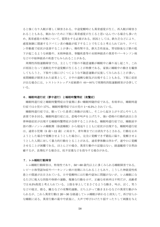ると強くなり入眠が著しく障害される。中途覚醒時にも異常感覚が生じ、再入眠が障害さ れることもある。眠れないために下肢に異常感覚が生じると思い込んでいる場合も多いた め、異常感覚の有無について、質問をする必要がある。原因としては、鉄欠乏などにより、 感覚制御に関連するドパミン系の機能が低下することで生じると考えられており、ドパミ ン作動薬で症状が改善することが多い。慢性腎不全、鉄欠乏性貧血、胃切除後など鉄の低 下が起こるような病態や、末梢神経炎、脊髄疾患等の末梢神経系の異常やパーキンソン病 などの中枢神経系の疾患でもみられることがある。

周期性四肢運動障害では、主として下肢の不随意運動が睡眠中に繰り返し起こり、これ が原因となって浅眠化や中途覚醒が生じることが特徴である。家族に睡眠中の動きを観察 してもらうと、下肢や上肢にぴくつくような不随意運動が反復してみられることが多い。 夜間睡眠が障害された結果として、日中の過剰な眠気が出現することもある。下肢に症状 が出る場合には、レストレスレッグス症候群の 60〜80%で周期性四肢運動障害が合併して いる。

#### 6.睡眠時遊行症(夢中遊行)と睡眠時驚愕症(夜驚症)

睡眠時遊行症と睡眠時驚愕症は学童期に多い睡眠時随伴症である。有病率は、睡眠時遊 行症では小児の 17%、睡眠時驚愕症では小児の 1~6.5%とされている。

睡眠時遊行症では、眠っていた患者に体動が出現し、そこから起き上がりぼんやりした 表情で歩き回る。睡眠時遊行症には、悲鳴や叫声を上げたり、強い恐怖の行動的表出と自 律神経症状が出現する睡眠時驚愕症が合併することがある。睡眠時遊行症では、睡眠前半 部の深いノンレム睡眠期(徐波睡眠)から寝返りとともに症状が出現する。睡眠時遊行症 は、通常小児期(5歳~12歳)に始まり、青年期までには消失するとされる。行動を止め ようとした場合や覚醒させようとした場合に、完全に覚醒できず錯乱に陥り、覚醒させよ うとした人間に対して暴力的行動をとることがある。通常夢体験は伴わず、速やかに覚醒 させることが困難である。ほとんどの場合、異常行動中の記憶はない。経過観察で自然治 癒するが、長期化する場合は、抗不安薬などを投与する場合がある。

#### 7.レム睡眠行動障害

レム睡眠行動障害は、特発性であり、50~60 歳代以上に多くみられる睡眠障害である。 レビー小体型認知症やパーキンソン病の初期にみられることもあり、こうした神経変性疾 患との関連が注目されている。日中覚醒時には行動や認知に問題がないが、レム睡眠にな るたびに粗大な四肢や体幹の運動、複雑な行動を示す。正確な有病率は不明だが、高齢者 では 0.5%程度と考えられている。上肢を挙上してまさぐるような動き、叫ぶ、泣く、笑う などの寝言、殴る、蹴るなどの攻撃的運動、立ち上がって動きまわるなどの異常行動がみ られるが、これら異常行動は 20~30 分経過してレム睡眠が終わると消失して、再び安らか な睡眠に戻る。異常行動の最中や直後に、大声で呼びかけたり揺すったりして刺激を与え